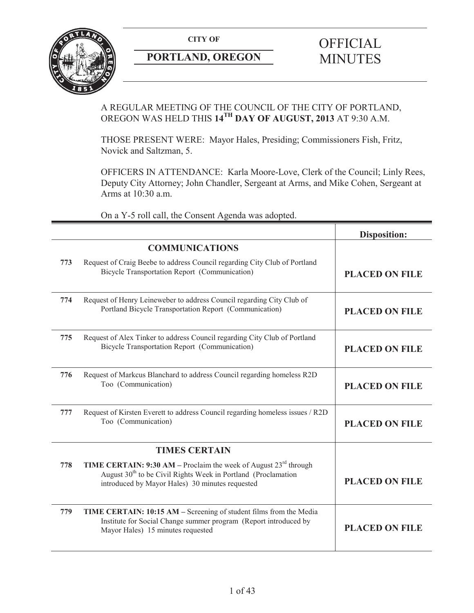

# **PORTLAND, OREGON MINUTES**

# **CITY OF** OFFICIAL

# A REGULAR MEETING OF THE COUNCIL OF THE CITY OF PORTLAND, OREGON WAS HELD THIS **14TH DAY OF AUGUST, 2013** AT 9:30 A.M.

THOSE PRESENT WERE: Mayor Hales, Presiding; Commissioners Fish, Fritz, Novick and Saltzman, 5.

OFFICERS IN ATTENDANCE: Karla Moore-Love, Clerk of the Council; Linly Rees, Deputy City Attorney; John Chandler, Sergeant at Arms, and Mike Cohen, Sergeant at Arms at 10:30 a.m.

On a Y-5 roll call, the Consent Agenda was adopted.

|     |                                                                                                                                                                                                                     | <b>Disposition:</b>   |
|-----|---------------------------------------------------------------------------------------------------------------------------------------------------------------------------------------------------------------------|-----------------------|
|     | <b>COMMUNICATIONS</b>                                                                                                                                                                                               |                       |
| 773 | Request of Craig Beebe to address Council regarding City Club of Portland<br><b>Bicycle Transportation Report (Communication)</b>                                                                                   | <b>PLACED ON FILE</b> |
| 774 | Request of Henry Leineweber to address Council regarding City Club of<br>Portland Bicycle Transportation Report (Communication)                                                                                     | <b>PLACED ON FILE</b> |
| 775 | Request of Alex Tinker to address Council regarding City Club of Portland<br><b>Bicycle Transportation Report (Communication)</b>                                                                                   | <b>PLACED ON FILE</b> |
| 776 | Request of Markcus Blanchard to address Council regarding homeless R2D<br>Too (Communication)                                                                                                                       | <b>PLACED ON FILE</b> |
| 777 | Request of Kirsten Everett to address Council regarding homeless issues / R2D<br>Too (Communication)                                                                                                                | <b>PLACED ON FILE</b> |
|     | <b>TIMES CERTAIN</b>                                                                                                                                                                                                |                       |
| 778 | <b>TIME CERTAIN: 9:30 AM</b> – Proclaim the week of August $23^{\text{rd}}$ through<br>August 30 <sup>th</sup> to be Civil Rights Week in Portland (Proclamation<br>introduced by Mayor Hales) 30 minutes requested | <b>PLACED ON FILE</b> |
| 779 | TIME CERTAIN: 10:15 AM - Screening of student films from the Media<br>Institute for Social Change summer program (Report introduced by<br>Mayor Hales) 15 minutes requested                                         | <b>PLACED ON FILE</b> |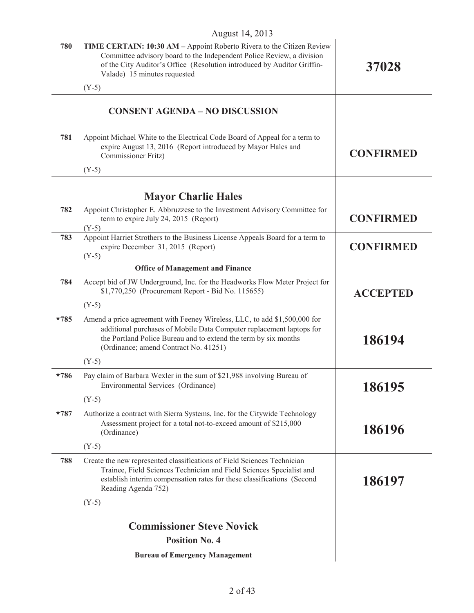| 780    | <b>TIME CERTAIN: 10:30 AM – Appoint Roberto Rivera to the Citizen Review</b><br>Committee advisory board to the Independent Police Review, a division<br>of the City Auditor's Office (Resolution introduced by Auditor Griffin-<br>Valade) 15 minutes requested | 37028            |
|--------|------------------------------------------------------------------------------------------------------------------------------------------------------------------------------------------------------------------------------------------------------------------|------------------|
|        | $(Y-5)$                                                                                                                                                                                                                                                          |                  |
|        | <b>CONSENT AGENDA - NO DISCUSSION</b>                                                                                                                                                                                                                            |                  |
| 781    | Appoint Michael White to the Electrical Code Board of Appeal for a term to<br>expire August 13, 2016 (Report introduced by Mayor Hales and<br>Commissioner Fritz)                                                                                                | <b>CONFIRMED</b> |
|        | $(Y-5)$                                                                                                                                                                                                                                                          |                  |
|        |                                                                                                                                                                                                                                                                  |                  |
|        | <b>Mayor Charlie Hales</b>                                                                                                                                                                                                                                       |                  |
| 782    | Appoint Christopher E. Abbruzzese to the Investment Advisory Committee for<br>term to expire July 24, 2015 (Report)<br>$(Y-5)$                                                                                                                                   | <b>CONFIRMED</b> |
| 783    | Appoint Harriet Strothers to the Business License Appeals Board for a term to<br>expire December 31, 2015 (Report)<br>$(Y-5)$                                                                                                                                    | <b>CONFIRMED</b> |
|        | <b>Office of Management and Finance</b>                                                                                                                                                                                                                          |                  |
| 784    | Accept bid of JW Underground, Inc. for the Headworks Flow Meter Project for<br>\$1,770,250 (Procurement Report - Bid No. 115655)                                                                                                                                 | <b>ACCEPTED</b>  |
|        | $(Y-5)$                                                                                                                                                                                                                                                          |                  |
| $*785$ | Amend a price agreement with Feeney Wireless, LLC, to add \$1,500,000 for<br>additional purchases of Mobile Data Computer replacement laptops for<br>the Portland Police Bureau and to extend the term by six months<br>(Ordinance; amend Contract No. 41251)    | 186194           |
|        | $(Y-5)$                                                                                                                                                                                                                                                          |                  |
| $*786$ | Pay claim of Barbara Wexler in the sum of \$21,988 involving Bureau of<br>Environmental Services (Ordinance)                                                                                                                                                     | 186195           |
|        | $(Y-5)$                                                                                                                                                                                                                                                          |                  |
| $*787$ | Authorize a contract with Sierra Systems, Inc. for the Citywide Technology<br>Assessment project for a total not-to-exceed amount of \$215,000<br>(Ordinance)                                                                                                    | 186196           |
|        | $(Y-5)$                                                                                                                                                                                                                                                          |                  |
| 788    | Create the new represented classifications of Field Sciences Technician<br>Trainee, Field Sciences Technician and Field Sciences Specialist and<br>establish interim compensation rates for these classifications (Second<br>Reading Agenda 752)                 | 186197           |
|        | $(Y-5)$                                                                                                                                                                                                                                                          |                  |
|        | <b>Commissioner Steve Novick</b>                                                                                                                                                                                                                                 |                  |
|        | <b>Position No. 4</b>                                                                                                                                                                                                                                            |                  |
|        |                                                                                                                                                                                                                                                                  |                  |
|        | <b>Bureau of Emergency Management</b>                                                                                                                                                                                                                            |                  |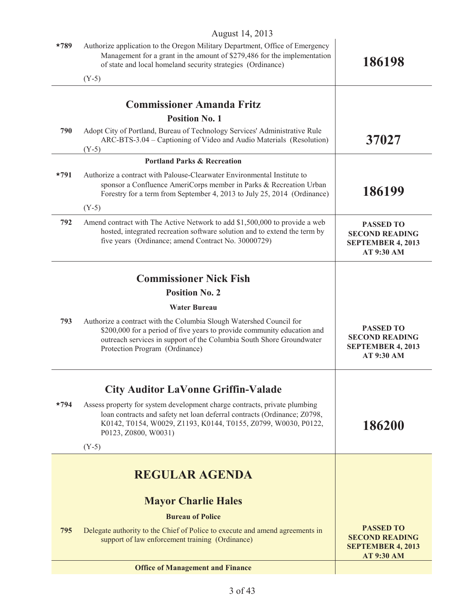|        | $1105$ ust $17, 201$                                                                                                                                                                                                                                     |                                                                                            |
|--------|----------------------------------------------------------------------------------------------------------------------------------------------------------------------------------------------------------------------------------------------------------|--------------------------------------------------------------------------------------------|
| $*789$ | Authorize application to the Oregon Military Department, Office of Emergency<br>Management for a grant in the amount of \$279,486 for the implementation<br>of state and local homeland security strategies (Ordinance)                                  | 186198                                                                                     |
|        | $(Y-5)$                                                                                                                                                                                                                                                  |                                                                                            |
|        |                                                                                                                                                                                                                                                          |                                                                                            |
|        | <b>Commissioner Amanda Fritz</b>                                                                                                                                                                                                                         |                                                                                            |
|        | <b>Position No. 1</b>                                                                                                                                                                                                                                    |                                                                                            |
| 790    | Adopt City of Portland, Bureau of Technology Services' Administrative Rule<br>ARC-BTS-3.04 – Captioning of Video and Audio Materials (Resolution)<br>$(Y-5)$                                                                                             | 37027                                                                                      |
|        | <b>Portland Parks &amp; Recreation</b>                                                                                                                                                                                                                   |                                                                                            |
| $*791$ | Authorize a contract with Palouse-Clearwater Environmental Institute to<br>sponsor a Confluence AmeriCorps member in Parks & Recreation Urban<br>Forestry for a term from September 4, 2013 to July 25, 2014 (Ordinance)                                 | 186199                                                                                     |
|        | $(Y-5)$                                                                                                                                                                                                                                                  |                                                                                            |
| 792    | Amend contract with The Active Network to add \$1,500,000 to provide a web<br>hosted, integrated recreation software solution and to extend the term by<br>five years (Ordinance; amend Contract No. 30000729)                                           | <b>PASSED TO</b><br><b>SECOND READING</b><br><b>SEPTEMBER 4, 2013</b><br>AT 9:30 AM        |
|        |                                                                                                                                                                                                                                                          |                                                                                            |
|        | <b>Commissioner Nick Fish</b>                                                                                                                                                                                                                            |                                                                                            |
|        | <b>Position No. 2</b>                                                                                                                                                                                                                                    |                                                                                            |
|        | <b>Water Bureau</b>                                                                                                                                                                                                                                      |                                                                                            |
| 793    | Authorize a contract with the Columbia Slough Watershed Council for<br>\$200,000 for a period of five years to provide community education and<br>outreach services in support of the Columbia South Shore Groundwater<br>Protection Program (Ordinance) | <b>PASSED TO</b><br><b>SECOND READING</b><br><b>SEPTEMBER 4, 2013</b><br>AT 9:30 AM        |
|        | <b>City Auditor LaVonne Griffin-Valade</b>                                                                                                                                                                                                               |                                                                                            |
| $*794$ | Assess property for system development charge contracts, private plumbing<br>loan contracts and safety net loan deferral contracts (Ordinance; Z0798,<br>K0142, T0154, W0029, Z1193, K0144, T0155, Z0799, W0030, P0122,<br>P0123, Z0800, W0031)          | 186200                                                                                     |
|        | $(Y-5)$                                                                                                                                                                                                                                                  |                                                                                            |
|        |                                                                                                                                                                                                                                                          |                                                                                            |
|        | <b>REGULAR AGENDA</b>                                                                                                                                                                                                                                    |                                                                                            |
|        | <b>Mayor Charlie Hales</b>                                                                                                                                                                                                                               |                                                                                            |
|        | <b>Bureau of Police</b>                                                                                                                                                                                                                                  |                                                                                            |
| 795    | Delegate authority to the Chief of Police to execute and amend agreements in<br>support of law enforcement training (Ordinance)                                                                                                                          | <b>PASSED TO</b><br><b>SECOND READING</b><br><b>SEPTEMBER 4, 2013</b><br><b>AT 9:30 AM</b> |
|        | <b>Office of Management and Finance</b>                                                                                                                                                                                                                  |                                                                                            |
|        |                                                                                                                                                                                                                                                          |                                                                                            |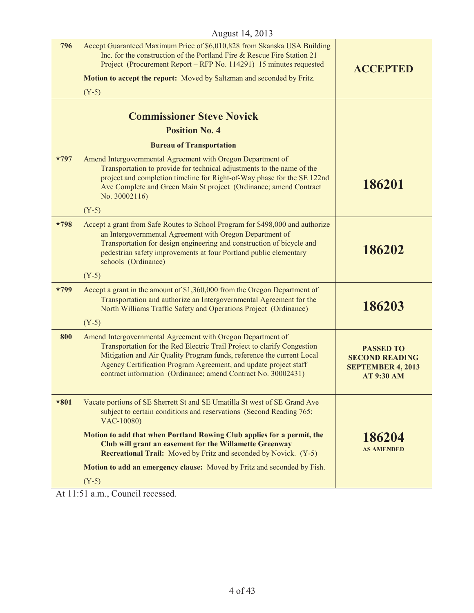| August 14, 2013 |                                                                                                                                                                                                                                                                                                                                                      |                                                                                            |
|-----------------|------------------------------------------------------------------------------------------------------------------------------------------------------------------------------------------------------------------------------------------------------------------------------------------------------------------------------------------------------|--------------------------------------------------------------------------------------------|
| 796             | Accept Guaranteed Maximum Price of \$6,010,828 from Skanska USA Building<br>Inc. for the construction of the Portland Fire & Rescue Fire Station 21<br>Project (Procurement Report – RFP No. 114291) 15 minutes requested                                                                                                                            | <b>ACCEPTED</b>                                                                            |
|                 | Motion to accept the report: Moved by Saltzman and seconded by Fritz.                                                                                                                                                                                                                                                                                |                                                                                            |
|                 | $(Y-5)$                                                                                                                                                                                                                                                                                                                                              |                                                                                            |
|                 | <b>Commissioner Steve Novick</b>                                                                                                                                                                                                                                                                                                                     |                                                                                            |
|                 | <b>Position No. 4</b>                                                                                                                                                                                                                                                                                                                                |                                                                                            |
|                 | <b>Bureau of Transportation</b>                                                                                                                                                                                                                                                                                                                      |                                                                                            |
| $*797$          | Amend Intergovernmental Agreement with Oregon Department of<br>Transportation to provide for technical adjustments to the name of the<br>project and completion timeline for Right-of-Way phase for the SE 122nd<br>Ave Complete and Green Main St project (Ordinance; amend Contract<br>No. 30002116)                                               | 186201                                                                                     |
|                 | $(Y-5)$                                                                                                                                                                                                                                                                                                                                              |                                                                                            |
| $*798$          | Accept a grant from Safe Routes to School Program for \$498,000 and authorize<br>an Intergovernmental Agreement with Oregon Department of<br>Transportation for design engineering and construction of bicycle and<br>pedestrian safety improvements at four Portland public elementary<br>schools (Ordinance)                                       | 186202                                                                                     |
|                 | $(Y-5)$                                                                                                                                                                                                                                                                                                                                              |                                                                                            |
| $*799$          | Accept a grant in the amount of \$1,360,000 from the Oregon Department of<br>Transportation and authorize an Intergovernmental Agreement for the<br>North Williams Traffic Safety and Operations Project (Ordinance)                                                                                                                                 | 186203                                                                                     |
|                 | $(Y-5)$                                                                                                                                                                                                                                                                                                                                              |                                                                                            |
| 800             | Amend Intergovernmental Agreement with Oregon Department of<br>Transportation for the Red Electric Trail Project to clarify Congestion<br>Mitigation and Air Quality Program funds, reference the current Local<br>Agency Certification Program Agreement, and update project staff<br>contract information (Ordinance; amend Contract No. 30002431) | <b>PASSED TO</b><br><b>SECOND READING</b><br><b>SEPTEMBER 4, 2013</b><br><b>AT 9:30 AM</b> |
| $*801$          | Vacate portions of SE Sherrett St and SE Umatilla St west of SE Grand Ave<br>subject to certain conditions and reservations (Second Reading 765;<br>VAC-10080)                                                                                                                                                                                       |                                                                                            |
|                 | Motion to add that when Portland Rowing Club applies for a permit, the<br>Club will grant an easement for the Willamette Greenway<br><b>Recreational Trail:</b> Moved by Fritz and seconded by Novick. (Y-5)                                                                                                                                         | 186204<br><b>AS AMENDED</b>                                                                |
|                 | Motion to add an emergency clause: Moved by Fritz and seconded by Fish.                                                                                                                                                                                                                                                                              |                                                                                            |
|                 | $(Y-5)$                                                                                                                                                                                                                                                                                                                                              |                                                                                            |

At 11:51 a.m., Council recessed.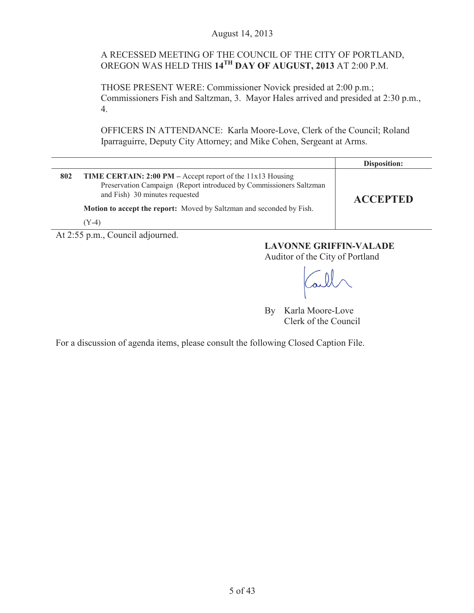# A RECESSED MEETING OF THE COUNCIL OF THE CITY OF PORTLAND, OREGON WAS HELD THIS **14TH DAY OF AUGUST, 2013** AT 2:00 P.M.

THOSE PRESENT WERE: Commissioner Novick presided at 2:00 p.m.; Commissioners Fish and Saltzman, 3. Mayor Hales arrived and presided at 2:30 p.m., 4.

OFFICERS IN ATTENDANCE: Karla Moore-Love, Clerk of the Council; Roland Iparraguirre, Deputy City Attorney; and Mike Cohen, Sergeant at Arms.

|     |                                                                                                                                                                              | Disposition:    |
|-----|------------------------------------------------------------------------------------------------------------------------------------------------------------------------------|-----------------|
| 802 | <b>TIME CERTAIN: 2:00 PM</b> – Accept report of the $11x13$ Housing<br>Preservation Campaign (Report introduced by Commissioners Saltzman)<br>and Fish) 30 minutes requested | <b>ACCEPTED</b> |
|     | <b>Motion to accept the report:</b> Moved by Saltzman and seconded by Fish.                                                                                                  |                 |
|     | (Y-4)                                                                                                                                                                        |                 |

At 2:55 p.m., Council adjourned.

# **LAVONNE GRIFFIN-VALADE**

Auditor of the City of Portland

By Karla Moore-Love Clerk of the Council

For a discussion of agenda items, please consult the following Closed Caption File.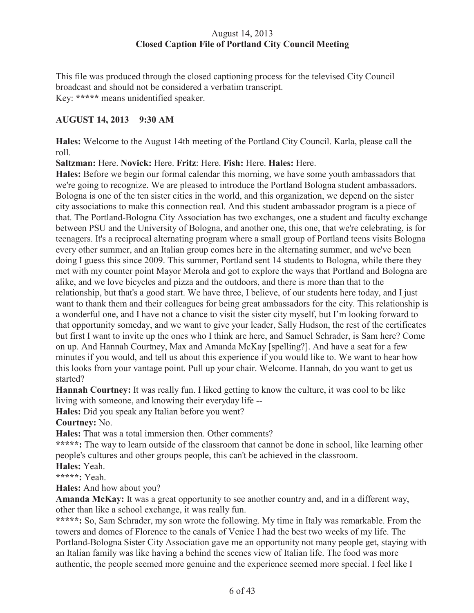# August 14, 2013 **Closed Caption File of Portland City Council Meeting**

This file was produced through the closed captioning process for the televised City Council broadcast and should not be considered a verbatim transcript. Key: **\*\*\*\*\*** means unidentified speaker.

# **AUGUST 14, 2013 9:30 AM**

**Hales:** Welcome to the August 14th meeting of the Portland City Council. Karla, please call the roll.

**Saltzman:** Here. **Novick:** Here. **Fritz**: Here. **Fish:** Here. **Hales:** Here.

**Hales:** Before we begin our formal calendar this morning, we have some youth ambassadors that we're going to recognize. We are pleased to introduce the Portland Bologna student ambassadors. Bologna is one of the ten sister cities in the world, and this organization, we depend on the sister city associations to make this connection real. And this student ambassador program is a piece of that. The Portland-Bologna City Association has two exchanges, one a student and faculty exchange between PSU and the University of Bologna, and another one, this one, that we're celebrating, is for teenagers. It's a reciprocal alternating program where a small group of Portland teens visits Bologna every other summer, and an Italian group comes here in the alternating summer, and we've been doing I guess this since 2009. This summer, Portland sent 14 students to Bologna, while there they met with my counter point Mayor Merola and got to explore the ways that Portland and Bologna are alike, and we love bicycles and pizza and the outdoors, and there is more than that to the relationship, but that's a good start. We have three, I believe, of our students here today, and I just want to thank them and their colleagues for being great ambassadors for the city. This relationship is a wonderful one, and I have not a chance to visit the sister city myself, but I'm looking forward to that opportunity someday, and we want to give your leader, Sally Hudson, the rest of the certificates but first I want to invite up the ones who I think are here, and Samuel Schrader, is Sam here? Come on up. And Hannah Courtney, Max and Amanda McKay [spelling?]. And have a seat for a few minutes if you would, and tell us about this experience if you would like to. We want to hear how this looks from your vantage point. Pull up your chair. Welcome. Hannah, do you want to get us started?

**Hannah Courtney:** It was really fun. I liked getting to know the culture, it was cool to be like living with someone, and knowing their everyday life --

**Hales:** Did you speak any Italian before you went?

**Courtney:** No.

**Hales:** That was a total immersion then. Other comments?

**\*\*\*\*\*:** The way to learn outside of the classroom that cannot be done in school, like learning other people's cultures and other groups people, this can't be achieved in the classroom.

**Hales:** Yeah.

**\*\*\*\*\*:** Yeah.

**Hales:** And how about you?

**Amanda McKay:** It was a great opportunity to see another country and, and in a different way, other than like a school exchange, it was really fun.

**\*\*\*\*\*:** So, Sam Schrader, my son wrote the following. My time in Italy was remarkable. From the towers and domes of Florence to the canals of Venice I had the best two weeks of my life. The Portland-Bologna Sister City Association gave me an opportunity not many people get, staying with an Italian family was like having a behind the scenes view of Italian life. The food was more authentic, the people seemed more genuine and the experience seemed more special. I feel like I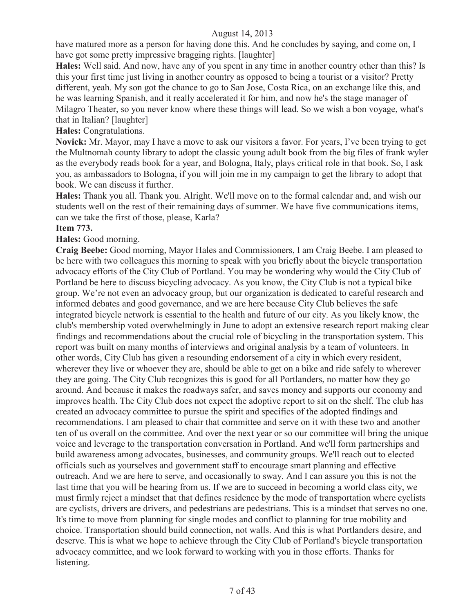have matured more as a person for having done this. And he concludes by saying, and come on, I have got some pretty impressive bragging rights. [laughter]

**Hales:** Well said. And now, have any of you spent in any time in another country other than this? Is this your first time just living in another country as opposed to being a tourist or a visitor? Pretty different, yeah. My son got the chance to go to San Jose, Costa Rica, on an exchange like this, and he was learning Spanish, and it really accelerated it for him, and now he's the stage manager of Milagro Theater, so you never know where these things will lead. So we wish a bon voyage, what's that in Italian? [laughter]

**Hales:** Congratulations.

**Novick:** Mr. Mayor, may I have a move to ask our visitors a favor. For years, I've been trying to get the Multnomah county library to adopt the classic young adult book from the big files of frank wyler as the everybody reads book for a year, and Bologna, Italy, plays critical role in that book. So, I ask you, as ambassadors to Bologna, if you will join me in my campaign to get the library to adopt that book. We can discuss it further.

**Hales:** Thank you all. Thank you. Alright. We'll move on to the formal calendar and, and wish our students well on the rest of their remaining days of summer. We have five communications items, can we take the first of those, please, Karla?

# **Item 773.**

**Hales:** Good morning.

**Craig Beebe:** Good morning, Mayor Hales and Commissioners, I am Craig Beebe. I am pleased to be here with two colleagues this morning to speak with you briefly about the bicycle transportation advocacy efforts of the City Club of Portland. You may be wondering why would the City Club of Portland be here to discuss bicycling advocacy. As you know, the City Club is not a typical bike group. We're not even an advocacy group, but our organization is dedicated to careful research and informed debates and good governance, and we are here because City Club believes the safe integrated bicycle network is essential to the health and future of our city. As you likely know, the club's membership voted overwhelmingly in June to adopt an extensive research report making clear findings and recommendations about the crucial role of bicycling in the transportation system. This report was built on many months of interviews and original analysis by a team of volunteers. In other words, City Club has given a resounding endorsement of a city in which every resident, wherever they live or whoever they are, should be able to get on a bike and ride safely to wherever they are going. The City Club recognizes this is good for all Portlanders, no matter how they go around. And because it makes the roadways safer, and saves money and supports our economy and improves health. The City Club does not expect the adoptive report to sit on the shelf. The club has created an advocacy committee to pursue the spirit and specifics of the adopted findings and recommendations. I am pleased to chair that committee and serve on it with these two and another ten of us overall on the committee. And over the next year or so our committee will bring the unique voice and leverage to the transportation conversation in Portland. And we'll form partnerships and build awareness among advocates, businesses, and community groups. We'll reach out to elected officials such as yourselves and government staff to encourage smart planning and effective outreach. And we are here to serve, and occasionally to sway. And I can assure you this is not the last time that you will be hearing from us. If we are to succeed in becoming a world class city, we must firmly reject a mindset that that defines residence by the mode of transportation where cyclists are cyclists, drivers are drivers, and pedestrians are pedestrians. This is a mindset that serves no one. It's time to move from planning for single modes and conflict to planning for true mobility and choice. Transportation should build connection, not walls. And this is what Portlanders desire, and deserve. This is what we hope to achieve through the City Club of Portland's bicycle transportation advocacy committee, and we look forward to working with you in those efforts. Thanks for listening.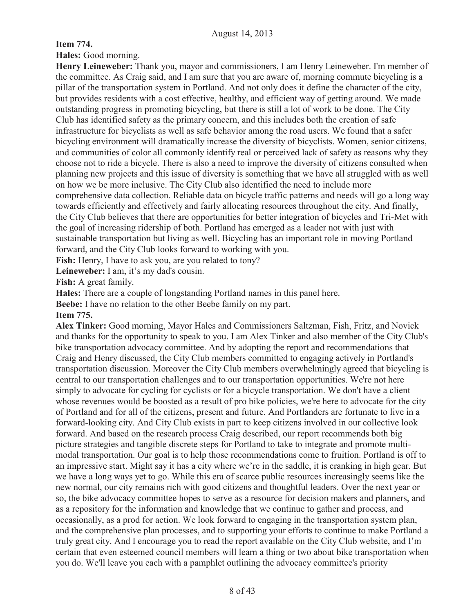**Item 774.**

**Hales:** Good morning.

**Henry Leineweber:** Thank you, mayor and commissioners, I am Henry Leineweber. I'm member of the committee. As Craig said, and I am sure that you are aware of, morning commute bicycling is a pillar of the transportation system in Portland. And not only does it define the character of the city, but provides residents with a cost effective, healthy, and efficient way of getting around. We made outstanding progress in promoting bicycling, but there is still a lot of work to be done. The City Club has identified safety as the primary concern, and this includes both the creation of safe infrastructure for bicyclists as well as safe behavior among the road users. We found that a safer bicycling environment will dramatically increase the diversity of bicyclists. Women, senior citizens, and communities of color all commonly identify real or perceived lack of safety as reasons why they choose not to ride a bicycle. There is also a need to improve the diversity of citizens consulted when planning new projects and this issue of diversity is something that we have all struggled with as well on how we be more inclusive. The City Club also identified the need to include more comprehensive data collection. Reliable data on bicycle traffic patterns and needs will go a long way towards efficiently and effectively and fairly allocating resources throughout the city. And finally, the City Club believes that there are opportunities for better integration of bicycles and Tri-Met with the goal of increasing ridership of both. Portland has emerged as a leader not with just with sustainable transportation but living as well. Bicycling has an important role in moving Portland forward, and the City Club looks forward to working with you.

**Fish:** Henry, I have to ask you, are you related to tony?

Leineweber: I am, it's my dad's cousin.

**Fish:** A great family.

**Hales:** There are a couple of longstanding Portland names in this panel here.

**Beebe:** I have no relation to the other Beebe family on my part.

#### **Item 775.**

**Alex Tinker:** Good morning, Mayor Hales and Commissioners Saltzman, Fish, Fritz, and Novick and thanks for the opportunity to speak to you. I am Alex Tinker and also member of the City Club's bike transportation advocacy committee. And by adopting the report and recommendations that Craig and Henry discussed, the City Club members committed to engaging actively in Portland's transportation discussion. Moreover the City Club members overwhelmingly agreed that bicycling is central to our transportation challenges and to our transportation opportunities. We're not here simply to advocate for cycling for cyclists or for a bicycle transportation. We don't have a client whose revenues would be boosted as a result of pro bike policies, we're here to advocate for the city of Portland and for all of the citizens, present and future. And Portlanders are fortunate to live in a forward-looking city. And City Club exists in part to keep citizens involved in our collective look forward. And based on the research process Craig described, our report recommends both big picture strategies and tangible discrete steps for Portland to take to integrate and promote multimodal transportation. Our goal is to help those recommendations come to fruition. Portland is off to an impressive start. Might say it has a city where we're in the saddle, it is cranking in high gear. But we have a long ways yet to go. While this era of scarce public resources increasingly seems like the new normal, our city remains rich with good citizens and thoughtful leaders. Over the next year or so, the bike advocacy committee hopes to serve as a resource for decision makers and planners, and as a repository for the information and knowledge that we continue to gather and process, and occasionally, as a prod for action. We look forward to engaging in the transportation system plan, and the comprehensive plan processes, and to supporting your efforts to continue to make Portland a truly great city. And I encourage you to read the report available on the City Club website, and I'm certain that even esteemed council members will learn a thing or two about bike transportation when you do. We'll leave you each with a pamphlet outlining the advocacy committee's priority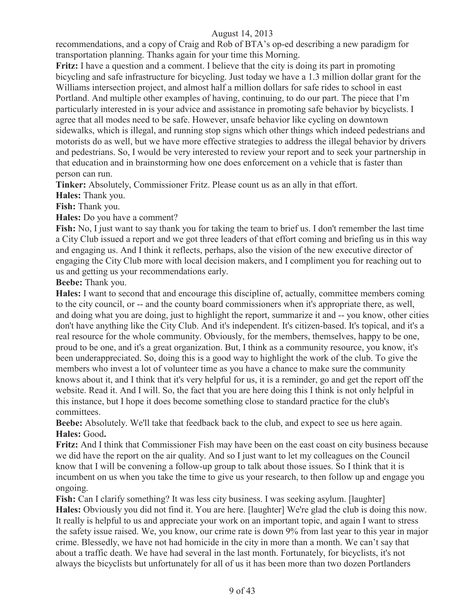recommendations, and a copy of Craig and Rob of BTA's op-ed describing a new paradigm for transportation planning. Thanks again for your time this Morning.

**Fritz:** I have a question and a comment. I believe that the city is doing its part in promoting bicycling and safe infrastructure for bicycling. Just today we have a 1.3 million dollar grant for the Williams intersection project, and almost half a million dollars for safe rides to school in east Portland. And multiple other examples of having, continuing, to do our part. The piece that I'm particularly interested in is your advice and assistance in promoting safe behavior by bicyclists. I agree that all modes need to be safe. However, unsafe behavior like cycling on downtown sidewalks, which is illegal, and running stop signs which other things which indeed pedestrians and motorists do as well, but we have more effective strategies to address the illegal behavior by drivers and pedestrians. So, I would be very interested to review your report and to seek your partnership in that education and in brainstorming how one does enforcement on a vehicle that is faster than person can run.

**Tinker:** Absolutely, Commissioner Fritz. Please count us as an ally in that effort.

**Hales:** Thank you.

**Fish:** Thank you.

**Hales:** Do you have a comment?

**Fish:** No, I just want to say thank you for taking the team to brief us. I don't remember the last time a City Club issued a report and we got three leaders of that effort coming and briefing us in this way and engaging us. And I think it reflects, perhaps, also the vision of the new executive director of engaging the City Club more with local decision makers, and I compliment you for reaching out to us and getting us your recommendations early.

**Beebe:** Thank you.

**Hales:** I want to second that and encourage this discipline of, actually, committee members coming to the city council, or -- and the county board commissioners when it's appropriate there, as well, and doing what you are doing, just to highlight the report, summarize it and -- you know, other cities don't have anything like the City Club. And it's independent. It's citizen-based. It's topical, and it's a real resource for the whole community. Obviously, for the members, themselves, happy to be one, proud to be one, and it's a great organization. But, I think as a community resource, you know, it's been underappreciated. So, doing this is a good way to highlight the work of the club. To give the members who invest a lot of volunteer time as you have a chance to make sure the community knows about it, and I think that it's very helpful for us, it is a reminder, go and get the report off the website. Read it. And I will. So, the fact that you are here doing this I think is not only helpful in this instance, but I hope it does become something close to standard practice for the club's committees.

**Beebe:** Absolutely. We'll take that feedback back to the club, and expect to see us here again. **Hales:** Good**.**

**Fritz:** And I think that Commissioner Fish may have been on the east coast on city business because we did have the report on the air quality. And so I just want to let my colleagues on the Council know that I will be convening a follow-up group to talk about those issues. So I think that it is incumbent on us when you take the time to give us your research, to then follow up and engage you ongoing.

Fish: Can I clarify something? It was less city business. I was seeking asylum. [laughter] **Hales:** Obviously you did not find it. You are here. [laughter] We're glad the club is doing this now. It really is helpful to us and appreciate your work on an important topic, and again I want to stress the safety issue raised. We, you know, our crime rate is down 9% from last year to this year in major crime. Blessedly, we have not had homicide in the city in more than a month. We can't say that about a traffic death. We have had several in the last month. Fortunately, for bicyclists, it's not always the bicyclists but unfortunately for all of us it has been more than two dozen Portlanders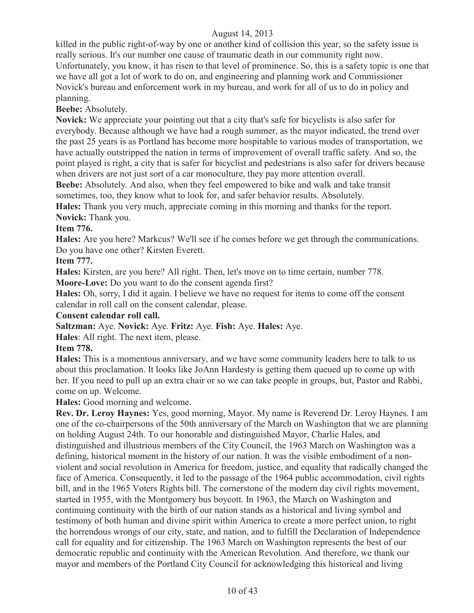killed in the public right-of-way by one or another kind of collision this year, so the safety issue is really serious. It's our number one cause of traumatic death in our community right now. Unfortunately, you know, it has risen to that level of prominence. So, this is a safety topic is one that we have all got a lot of work to do on, and engineering and planning work and Commissioner Novick's bureau and enforcement work in my bureau, and work for all of us to do in policy and planning.

**Beebe:** Absolutely.

**Novick:** We appreciate your pointing out that a city that's safe for bicyclists is also safer for everybody. Because although we have had a rough summer, as the mayor indicated, the trend over the past 25 years is as Portland has become more hospitable to various modes of transportation, we have actually outstripped the nation in terms of improvement of overall traffic safety. And so, the point played is right, a city that is safer for bicyclist and pedestrians is also safer for drivers because when drivers are not just sort of a car monoculture, they pay more attention overall.

**Beebe:** Absolutely. And also, when they feel empowered to bike and walk and take transit sometimes, too, they know what to look for, and safer behavior results. Absolutely.

**Hales:** Thank you very much, appreciate coming in this morning and thanks for the report. **Novick:** Thank you.

# **Item 776.**

**Hales:** Are you here? Markcus? We'll see if he comes before we get through the communications. Do you have one other? Kirsten Everett.

**Item 777.**

**Hales:** Kirsten, are you here? All right. Then, let's move on to time certain, number 778.

**Moore-Love:** Do you want to do the consent agenda first?

**Hales:** Oh, sorry, I did it again. I believe we have no request for items to come off the consent calendar in roll call on the consent calendar, please.

#### **Consent calendar roll call.**

**Saltzman:** Aye. **Novick:** Aye. **Fritz:** Aye. **Fish:** Aye. **Hales:** Aye.

**Hales**: All right. The next item, please.

#### **Item 778.**

**Hales:** This is a momentous anniversary, and we have some community leaders here to talk to us about this proclamation. It looks like JoAnn Hardesty is getting them queued up to come up with her. If you need to pull up an extra chair or so we can take people in groups, but, Pastor and Rabbi, come on up. Welcome.

#### **Hales:** Good morning and welcome.

**Rev. Dr. Leroy Haynes:** Yes, good morning, Mayor. My name is Reverend Dr. Leroy Haynes. I am one of the co-chairpersons of the 50th anniversary of the March on Washington that we are planning on holding August 24th. To our honorable and distinguished Mayor, Charlie Hales, and distinguished and illustrious members of the City Council, the 1963 March on Washington was a defining, historical moment in the history of our nation. It was the visible embodiment of a nonviolent and social revolution in America for freedom, justice, and equality that radically changed the face of America. Consequently, it led to the passage of the 1964 public accommodation, civil rights bill, and in the 1965 Voters Rights bill. The cornerstone of the modern day civil rights movement, started in 1955, with the Montgomery bus boycott. In 1963, the March on Washington and continuing continuity with the birth of our nation stands as a historical and living symbol and testimony of both human and divine spirit within America to create a more perfect union, to right the horrendous wrongs of our city, state, and nation, and to fulfill the Declaration of Independence call for equality and for citizenship. The 1963 March on Washington represents the best of our democratic republic and continuity with the American Revolution. And therefore, we thank our mayor and members of the Portland City Council for acknowledging this historical and living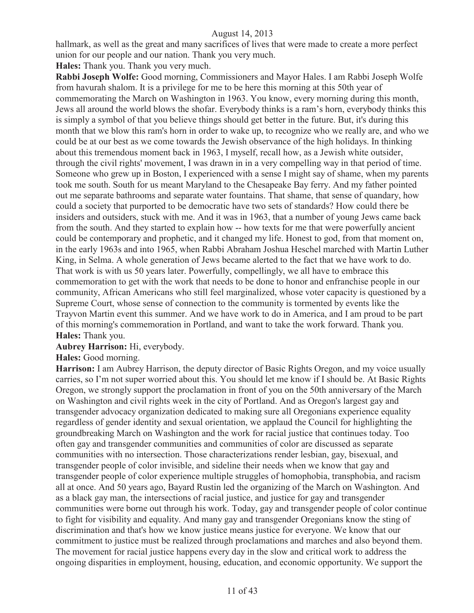hallmark, as well as the great and many sacrifices of lives that were made to create a more perfect union for our people and our nation. Thank you very much.

**Hales:** Thank you. Thank you very much.

**Rabbi Joseph Wolfe:** Good morning, Commissioners and Mayor Hales. I am Rabbi Joseph Wolfe from havurah shalom. It is a privilege for me to be here this morning at this 50th year of commemorating the March on Washington in 1963. You know, every morning during this month, Jews all around the world blows the shofar. Everybody thinks is a ram's horn, everybody thinks this is simply a symbol of that you believe things should get better in the future. But, it's during this month that we blow this ram's horn in order to wake up, to recognize who we really are, and who we could be at our best as we come towards the Jewish observance of the high holidays. In thinking about this tremendous moment back in 1963, I myself, recall how, as a Jewish white outsider, through the civil rights' movement, I was drawn in in a very compelling way in that period of time. Someone who grew up in Boston, I experienced with a sense I might say of shame, when my parents took me south. South for us meant Maryland to the Chesapeake Bay ferry. And my father pointed out me separate bathrooms and separate water fountains. That shame, that sense of quandary, how could a society that purported to be democratic have two sets of standards? How could there be insiders and outsiders, stuck with me. And it was in 1963, that a number of young Jews came back from the south. And they started to explain how -- how texts for me that were powerfully ancient could be contemporary and prophetic, and it changed my life. Honest to god, from that moment on, in the early 1963s and into 1965, when Rabbi Abraham Joshua Heschel marched with Martin Luther King, in Selma. A whole generation of Jews became alerted to the fact that we have work to do. That work is with us 50 years later. Powerfully, compellingly, we all have to embrace this commemoration to get with the work that needs to be done to honor and enfranchise people in our community, African Americans who still feel marginalized, whose voter capacity is questioned by a Supreme Court, whose sense of connection to the community is tormented by events like the Trayvon Martin event this summer. And we have work to do in America, and I am proud to be part of this morning's commemoration in Portland, and want to take the work forward. Thank you. **Hales:** Thank you.

#### **Aubrey Harrison:** Hi, everybody.

#### **Hales:** Good morning.

**Harrison:** I am Aubrey Harrison, the deputy director of Basic Rights Oregon, and my voice usually carries, so I'm not super worried about this. You should let me know if I should be. At Basic Rights Oregon, we strongly support the proclamation in front of you on the 50th anniversary of the March on Washington and civil rights week in the city of Portland. And as Oregon's largest gay and transgender advocacy organization dedicated to making sure all Oregonians experience equality regardless of gender identity and sexual orientation, we applaud the Council for highlighting the groundbreaking March on Washington and the work for racial justice that continues today. Too often gay and transgender communities and communities of color are discussed as separate communities with no intersection. Those characterizations render lesbian, gay, bisexual, and transgender people of color invisible, and sideline their needs when we know that gay and transgender people of color experience multiple struggles of homophobia, transphobia, and racism all at once. And 50 years ago, Bayard Rustin led the organizing of the March on Washington. And as a black gay man, the intersections of racial justice, and justice for gay and transgender communities were borne out through his work. Today, gay and transgender people of color continue to fight for visibility and equality. And many gay and transgender Oregonians know the sting of discrimination and that's how we know justice means justice for everyone. We know that our commitment to justice must be realized through proclamations and marches and also beyond them. The movement for racial justice happens every day in the slow and critical work to address the ongoing disparities in employment, housing, education, and economic opportunity. We support the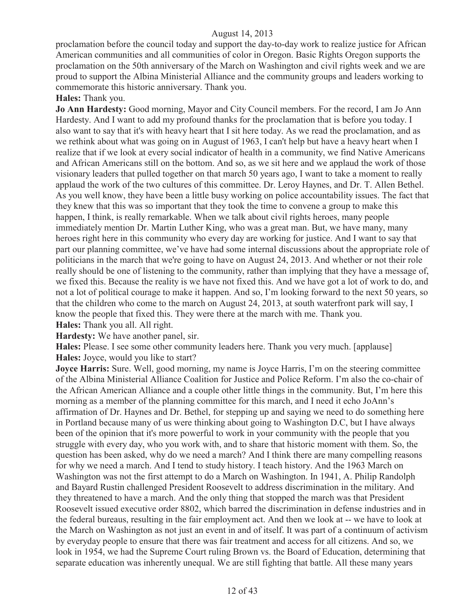proclamation before the council today and support the day-to-day work to realize justice for African American communities and all communities of color in Oregon. Basic Rights Oregon supports the proclamation on the 50th anniversary of the March on Washington and civil rights week and we are proud to support the Albina Ministerial Alliance and the community groups and leaders working to commemorate this historic anniversary. Thank you.

# **Hales:** Thank you.

**Jo Ann Hardesty:** Good morning, Mayor and City Council members. For the record, I am Jo Ann Hardesty. And I want to add my profound thanks for the proclamation that is before you today. I also want to say that it's with heavy heart that I sit here today. As we read the proclamation, and as we rethink about what was going on in August of 1963, I can't help but have a heavy heart when I realize that if we look at every social indicator of health in a community, we find Native Americans and African Americans still on the bottom. And so, as we sit here and we applaud the work of those visionary leaders that pulled together on that march 50 years ago, I want to take a moment to really applaud the work of the two cultures of this committee. Dr. Leroy Haynes, and Dr. T. Allen Bethel. As you well know, they have been a little busy working on police accountability issues. The fact that they knew that this was so important that they took the time to convene a group to make this happen, I think, is really remarkable. When we talk about civil rights heroes, many people immediately mention Dr. Martin Luther King, who was a great man. But, we have many, many heroes right here in this community who every day are working for justice. And I want to say that part our planning committee, we've have had some internal discussions about the appropriate role of politicians in the march that we're going to have on August 24, 2013. And whether or not their role really should be one of listening to the community, rather than implying that they have a message of, we fixed this. Because the reality is we have not fixed this. And we have got a lot of work to do, and not a lot of political courage to make it happen. And so, I'm looking forward to the next 50 years, so that the children who come to the march on August 24, 2013, at south waterfront park will say, I know the people that fixed this. They were there at the march with me. Thank you.

**Hales:** Thank you all. All right.

**Hardesty:** We have another panel, sir.

**Hales:** Please. I see some other community leaders here. Thank you very much. [applause] **Hales:** Joyce, would you like to start?

**Joyce Harris:** Sure. Well, good morning, my name is Joyce Harris, I'm on the steering committee of the Albina Ministerial Alliance Coalition for Justice and Police Reform. I'm also the co-chair of the African American Alliance and a couple other little things in the community. But, I'm here this morning as a member of the planning committee for this march, and I need it echo JoAnn's affirmation of Dr. Haynes and Dr. Bethel, for stepping up and saying we need to do something here in Portland because many of us were thinking about going to Washington D.C, but I have always been of the opinion that it's more powerful to work in your community with the people that you struggle with every day, who you work with, and to share that historic moment with them. So, the question has been asked, why do we need a march? And I think there are many compelling reasons for why we need a march. And I tend to study history. I teach history. And the 1963 March on Washington was not the first attempt to do a March on Washington. In 1941, A. Philip Randolph and Bayard Rustin challenged President Roosevelt to address discrimination in the military. And they threatened to have a march. And the only thing that stopped the march was that President Roosevelt issued executive order 8802, which barred the discrimination in defense industries and in the federal bureaus, resulting in the fair employment act. And then we look at -- we have to look at the March on Washington as not just an event in and of itself. It was part of a continuum of activism by everyday people to ensure that there was fair treatment and access for all citizens. And so, we look in 1954, we had the Supreme Court ruling Brown vs. the Board of Education, determining that separate education was inherently unequal. We are still fighting that battle. All these many years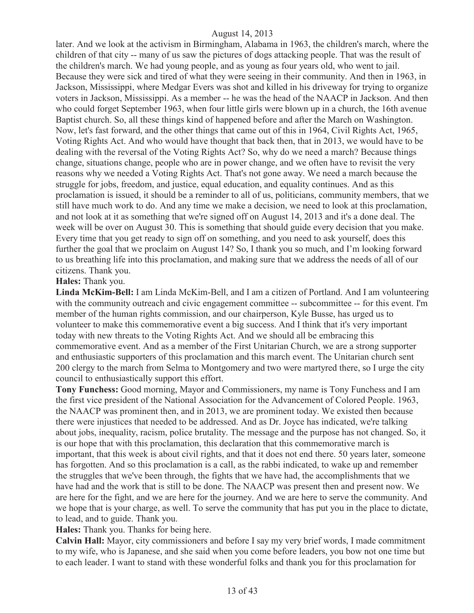later. And we look at the activism in Birmingham, Alabama in 1963, the children's march, where the children of that city -- many of us saw the pictures of dogs attacking people. That was the result of the children's march. We had young people, and as young as four years old, who went to jail. Because they were sick and tired of what they were seeing in their community. And then in 1963, in Jackson, Mississippi, where Medgar Evers was shot and killed in his driveway for trying to organize voters in Jackson, Mississippi. As a member -- he was the head of the NAACP in Jackson. And then who could forget September 1963, when four little girls were blown up in a church, the 16th avenue Baptist church. So, all these things kind of happened before and after the March on Washington. Now, let's fast forward, and the other things that came out of this in 1964, Civil Rights Act, 1965, Voting Rights Act. And who would have thought that back then, that in 2013, we would have to be dealing with the reversal of the Voting Rights Act? So, why do we need a march? Because things change, situations change, people who are in power change, and we often have to revisit the very reasons why we needed a Voting Rights Act. That's not gone away. We need a march because the struggle for jobs, freedom, and justice, equal education, and equality continues. And as this proclamation is issued, it should be a reminder to all of us, politicians, community members, that we still have much work to do. And any time we make a decision, we need to look at this proclamation, and not look at it as something that we're signed off on August 14, 2013 and it's a done deal. The week will be over on August 30. This is something that should guide every decision that you make. Every time that you get ready to sign off on something, and you need to ask yourself, does this further the goal that we proclaim on August 14? So, I thank you so much, and I'm looking forward to us breathing life into this proclamation, and making sure that we address the needs of all of our citizens. Thank you.

#### **Hales:** Thank you.

**Linda McKim-Bell:** I am Linda McKim-Bell, and I am a citizen of Portland. And I am volunteering with the community outreach and civic engagement committee -- subcommittee -- for this event. I'm member of the human rights commission, and our chairperson, Kyle Busse, has urged us to volunteer to make this commemorative event a big success. And I think that it's very important today with new threats to the Voting Rights Act. And we should all be embracing this commemorative event. And as a member of the First Unitarian Church, we are a strong supporter and enthusiastic supporters of this proclamation and this march event. The Unitarian church sent 200 clergy to the march from Selma to Montgomery and two were martyred there, so I urge the city council to enthusiastically support this effort.

**Tony Funchess:** Good morning, Mayor and Commissioners, my name is Tony Funchess and I am the first vice president of the National Association for the Advancement of Colored People. 1963, the NAACP was prominent then, and in 2013, we are prominent today. We existed then because there were injustices that needed to be addressed. And as Dr. Joyce has indicated, we're talking about jobs, inequality, racism, police brutality. The message and the purpose has not changed. So, it is our hope that with this proclamation, this declaration that this commemorative march is important, that this week is about civil rights, and that it does not end there. 50 years later, someone has forgotten. And so this proclamation is a call, as the rabbi indicated, to wake up and remember the struggles that we've been through, the fights that we have had, the accomplishments that we have had and the work that is still to be done. The NAACP was present then and present now. We are here for the fight, and we are here for the journey. And we are here to serve the community. And we hope that is your charge, as well. To serve the community that has put you in the place to dictate, to lead, and to guide. Thank you.

**Hales:** Thank you. Thanks for being here.

**Calvin Hall:** Mayor, city commissioners and before I say my very brief words, I made commitment to my wife, who is Japanese, and she said when you come before leaders, you bow not one time but to each leader. I want to stand with these wonderful folks and thank you for this proclamation for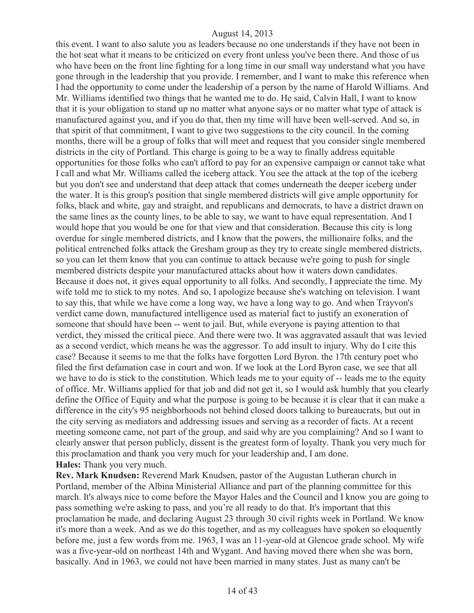this event. I want to also salute you as leaders because no one understands if they have not been in the hot seat what it means to be criticized on every front unless you've been there. And those of us who have been on the front line fighting for a long time in our small way understand what you have gone through in the leadership that you provide. I remember, and I want to make this reference when I had the opportunity to come under the leadership of a person by the name of Harold Williams. And Mr. Williams identified two things that he wanted me to do. He said, Calvin Hall, I want to know that it is your obligation to stand up no matter what anyone says or no matter what type of attack is manufactured against you, and if you do that, then my time will have been well-served. And so, in that spirit of that commitment, I want to give two suggestions to the city council. In the coming months, there will be a group of folks that will meet and request that you consider single membered districts in the city of Portland. This charge is going to be a way to finally address equitable opportunities for those folks who can't afford to pay for an expensive campaign or cannot take what I call and what Mr. Williams called the iceberg attack. You see the attack at the top of the iceberg but you don't see and understand that deep attack that comes underneath the deeper iceberg under the water. It is this group's position that single membered districts will give ample opportunity for folks, black and white, gay and straight, and republicans and democrats, to have a district drawn on the same lines as the county lines, to be able to say, we want to have equal representation. And I would hope that you would be one for that view and that consideration. Because this city is long overdue for single membered districts, and I know that the powers, the millionaire folks, and the political entrenched folks attack the Gresham group as they try to create single membered districts, so you can let them know that you can continue to attack because we're going to push for single membered districts despite your manufactured attacks about how it waters down candidates. Because it does not, it gives equal opportunity to all folks. And secondly, I appreciate the time. My wife told me to stick to my notes. And so, I apologize because she's watching on television. I want to say this, that while we have come a long way, we have a long way to go. And when Trayvon's verdict came down, manufactured intelligence used as material fact to justify an exoneration of someone that should have been -- went to jail. But, while everyone is paying attention to that verdict, they missed the critical piece. And there were two. It was aggravated assault that was levied as a second verdict, which means he was the aggressor. To add insult to injury. Why do I cite this case? Because it seems to me that the folks have forgotten Lord Byron. the 17th century poet who filed the first defamation case in court and won. If we look at the Lord Byron case, we see that all we have to do is stick to the constitution. Which leads me to your equity of -- leads me to the equity of office. Mr. Williams applied for that job and did not get it, so I would ask humbly that you clearly define the Office of Equity and what the purpose is going to be because it is clear that it can make a difference in the city's 95 neighborhoods not behind closed doors talking to bureaucrats, but out in the city serving as mediators and addressing issues and serving as a recorder of facts. At a recent meeting someone came, not part of the group, and said why are you complaining? And so I want to clearly answer that person publicly, dissent is the greatest form of loyalty. Thank you very much for this proclamation and thank you very much for your leadership and, I am done. **Hales:** Thank you very much.

**Rev. Mark Knudsen:** Reverend Mark Knudsen, pastor of the Augustan Lutheran church in Portland, member of the Albina Ministerial Alliance and part of the planning committee for this march. It's always nice to come before the Mayor Hales and the Council and I know you are going to pass something we're asking to pass, and you're all ready to do that. It's important that this proclamation be made, and declaring August 23 through 30 civil rights week in Portland. We know it's more than a week. And as we do this together, and as my colleagues have spoken so eloquently before me, just a few words from me. 1963, I was an 11-year-old at Glencoe grade school. My wife was a five-year-old on northeast 14th and Wygant. And having moved there when she was born, basically. And in 1963, we could not have been married in many states. Just as many can't be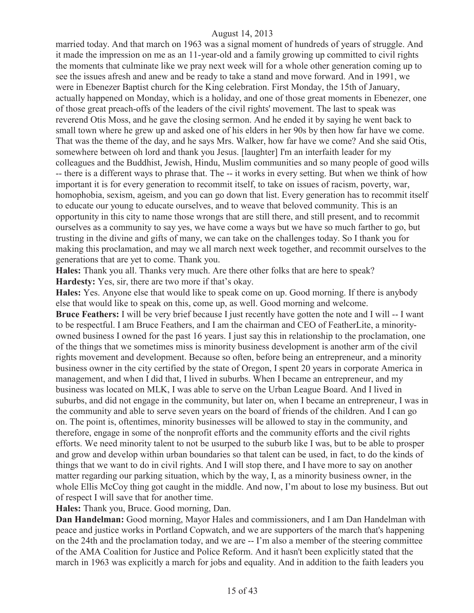married today. And that march on 1963 was a signal moment of hundreds of years of struggle. And it made the impression on me as an 11-year-old and a family growing up committed to civil rights the moments that culminate like we pray next week will for a whole other generation coming up to see the issues afresh and anew and be ready to take a stand and move forward. And in 1991, we were in Ebenezer Baptist church for the King celebration. First Monday, the 15th of January, actually happened on Monday, which is a holiday, and one of those great moments in Ebenezer, one of those great preach-offs of the leaders of the civil rights' movement. The last to speak was reverend Otis Moss, and he gave the closing sermon. And he ended it by saying he went back to small town where he grew up and asked one of his elders in her 90s by then how far have we come. That was the theme of the day, and he says Mrs. Walker, how far have we come? And she said Otis, somewhere between oh lord and thank you Jesus. [laughter] I'm an interfaith leader for my colleagues and the Buddhist, Jewish, Hindu, Muslim communities and so many people of good wills -- there is a different ways to phrase that. The -- it works in every setting. But when we think of how important it is for every generation to recommit itself, to take on issues of racism, poverty, war, homophobia, sexism, ageism, and you can go down that list. Every generation has to recommit itself to educate our young to educate ourselves, and to weave that beloved community. This is an opportunity in this city to name those wrongs that are still there, and still present, and to recommit ourselves as a community to say yes, we have come a ways but we have so much farther to go, but trusting in the divine and gifts of many, we can take on the challenges today. So I thank you for making this proclamation, and may we all march next week together, and recommit ourselves to the generations that are yet to come. Thank you.

**Hales:** Thank you all. Thanks very much. Are there other folks that are here to speak? **Hardesty:** Yes, sir, there are two more if that's okay.

**Hales:** Yes. Anyone else that would like to speak come on up. Good morning. If there is anybody else that would like to speak on this, come up, as well. Good morning and welcome.

**Bruce Feathers:** I will be very brief because I just recently have gotten the note and I will -- I want to be respectful. I am Bruce Feathers, and I am the chairman and CEO of FeatherLite, a minorityowned business I owned for the past 16 years. I just say this in relationship to the proclamation, one of the things that we sometimes miss is minority business development is another arm of the civil rights movement and development. Because so often, before being an entrepreneur, and a minority business owner in the city certified by the state of Oregon, I spent 20 years in corporate America in management, and when I did that, I lived in suburbs. When I became an entrepreneur, and my business was located on MLK, I was able to serve on the Urban League Board. And I lived in suburbs, and did not engage in the community, but later on, when I became an entrepreneur, I was in the community and able to serve seven years on the board of friends of the children. And I can go on. The point is, oftentimes, minority businesses will be allowed to stay in the community, and therefore, engage in some of the nonprofit efforts and the community efforts and the civil rights efforts. We need minority talent to not be usurped to the suburb like I was, but to be able to prosper and grow and develop within urban boundaries so that talent can be used, in fact, to do the kinds of things that we want to do in civil rights. And I will stop there, and I have more to say on another matter regarding our parking situation, which by the way, I, as a minority business owner, in the whole Ellis McCoy thing got caught in the middle. And now, I'm about to lose my business. But out of respect I will save that for another time.

**Hales:** Thank you, Bruce. Good morning, Dan.

**Dan Handelman:** Good morning, Mayor Hales and commissioners, and I am Dan Handelman with peace and justice works in Portland Copwatch, and we are supporters of the march that's happening on the 24th and the proclamation today, and we are -- I'm also a member of the steering committee of the AMA Coalition for Justice and Police Reform. And it hasn't been explicitly stated that the march in 1963 was explicitly a march for jobs and equality. And in addition to the faith leaders you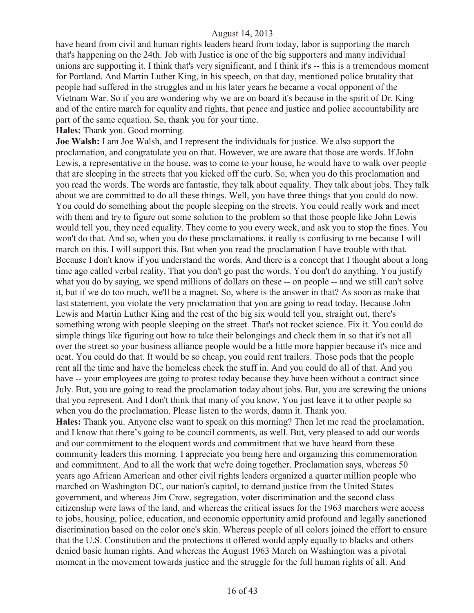have heard from civil and human rights leaders heard from today, labor is supporting the march that's happening on the 24th. Job with Justice is one of the big supporters and many individual unions are supporting it. I think that's very significant, and I think it's -- this is a tremendous moment for Portland. And Martin Luther King, in his speech, on that day, mentioned police brutality that people had suffered in the struggles and in his later years he became a vocal opponent of the Vietnam War. So if you are wondering why we are on board it's because in the spirit of Dr. King and of the entire march for equality and rights, that peace and justice and police accountability are part of the same equation. So, thank you for your time.

**Hales:** Thank you. Good morning.

**Joe Walsh:** I am Joe Walsh, and I represent the individuals for justice. We also support the proclamation, and congratulate you on that. However, we are aware that those are words. If John Lewis, a representative in the house, was to come to your house, he would have to walk over people that are sleeping in the streets that you kicked off the curb. So, when you do this proclamation and you read the words. The words are fantastic, they talk about equality. They talk about jobs. They talk about we are committed to do all these things. Well, you have three things that you could do now. You could do something about the people sleeping on the streets. You could really work and meet with them and try to figure out some solution to the problem so that those people like John Lewis would tell you, they need equality. They come to you every week, and ask you to stop the fines. You won't do that. And so, when you do these proclamations, it really is confusing to me because I will march on this. I will support this. But when you read the proclamation I have trouble with that. Because I don't know if you understand the words. And there is a concept that I thought about a long time ago called verbal reality. That you don't go past the words. You don't do anything. You justify what you do by saying, we spend millions of dollars on these -- on people -- and we still can't solve it, but if we do too much, we'll be a magnet. So, where is the answer in that? As soon as make that last statement, you violate the very proclamation that you are going to read today. Because John Lewis and Martin Luther King and the rest of the big six would tell you, straight out, there's something wrong with people sleeping on the street. That's not rocket science. Fix it. You could do simple things like figuring out how to take their belongings and check them in so that it's not all over the street so your business alliance people would be a little more happier because it's nice and neat. You could do that. It would be so cheap, you could rent trailers. Those pods that the people rent all the time and have the homeless check the stuff in. And you could do all of that. And you have -- your employees are going to protest today because they have been without a contract since July. But, you are going to read the proclamation today about jobs. But, you are screwing the unions that you represent. And I don't think that many of you know. You just leave it to other people so when you do the proclamation. Please listen to the words, damn it. Thank you. **Hales:** Thank you. Anyone else want to speak on this morning? Then let me read the proclamation, and I know that there's going to be council comments, as well. But, very pleased to add our words and our commitment to the eloquent words and commitment that we have heard from these community leaders this morning. I appreciate you being here and organizing this commemoration and commitment. And to all the work that we're doing together. Proclamation says, whereas 50 years ago African American and other civil rights leaders organized a quarter million people who marched on Washington DC, our nation's capitol, to demand justice from the United States government, and whereas Jim Crow, segregation, voter discrimination and the second class

citizenship were laws of the land, and whereas the critical issues for the 1963 marchers were access to jobs, housing, police, education, and economic opportunity amid profound and legally sanctioned discrimination based on the color one's skin. Whereas people of all colors joined the effort to ensure that the U.S. Constitution and the protections it offered would apply equally to blacks and others denied basic human rights. And whereas the August 1963 March on Washington was a pivotal moment in the movement towards justice and the struggle for the full human rights of all. And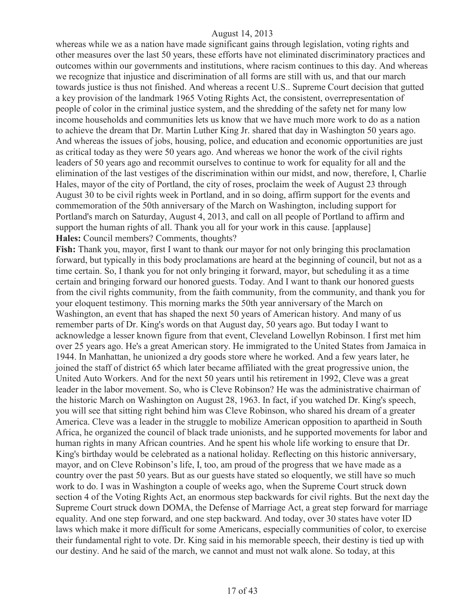whereas while we as a nation have made significant gains through legislation, voting rights and other measures over the last 50 years, these efforts have not eliminated discriminatory practices and outcomes within our governments and institutions, where racism continues to this day. And whereas we recognize that injustice and discrimination of all forms are still with us, and that our march towards justice is thus not finished. And whereas a recent U.S.. Supreme Court decision that gutted a key provision of the landmark 1965 Voting Rights Act, the consistent, overrepresentation of people of color in the criminal justice system, and the shredding of the safety net for many low income households and communities lets us know that we have much more work to do as a nation to achieve the dream that Dr. Martin Luther King Jr. shared that day in Washington 50 years ago. And whereas the issues of jobs, housing, police, and education and economic opportunities are just as critical today as they were 50 years ago. And whereas we honor the work of the civil rights leaders of 50 years ago and recommit ourselves to continue to work for equality for all and the elimination of the last vestiges of the discrimination within our midst, and now, therefore, I, Charlie Hales, mayor of the city of Portland, the city of roses, proclaim the week of August 23 through August 30 to be civil rights week in Portland, and in so doing, affirm support for the events and commemoration of the 50th anniversary of the March on Washington, including support for Portland's march on Saturday, August 4, 2013, and call on all people of Portland to affirm and support the human rights of all. Thank you all for your work in this cause. [applause] **Hales:** Council members? Comments, thoughts?

**Fish:** Thank you, mayor, first I want to thank our mayor for not only bringing this proclamation forward, but typically in this body proclamations are heard at the beginning of council, but not as a time certain. So, I thank you for not only bringing it forward, mayor, but scheduling it as a time certain and bringing forward our honored guests. Today. And I want to thank our honored guests from the civil rights community, from the faith community, from the community, and thank you for your eloquent testimony. This morning marks the 50th year anniversary of the March on Washington, an event that has shaped the next 50 years of American history. And many of us remember parts of Dr. King's words on that August day, 50 years ago. But today I want to acknowledge a lesser known figure from that event, Cleveland Lowellyn Robinson. I first met him over 25 years ago. He's a great American story. He immigrated to the United States from Jamaica in 1944. In Manhattan, he unionized a dry goods store where he worked. And a few years later, he joined the staff of district 65 which later became affiliated with the great progressive union, the United Auto Workers. And for the next 50 years until his retirement in 1992, Cleve was a great leader in the labor movement. So, who is Cleve Robinson? He was the administrative chairman of the historic March on Washington on August 28, 1963. In fact, if you watched Dr. King's speech, you will see that sitting right behind him was Cleve Robinson, who shared his dream of a greater America. Cleve was a leader in the struggle to mobilize American opposition to apartheid in South Africa, he organized the council of black trade unionists, and he supported movements for labor and human rights in many African countries. And he spent his whole life working to ensure that Dr. King's birthday would be celebrated as a national holiday. Reflecting on this historic anniversary, mayor, and on Cleve Robinson's life, I, too, am proud of the progress that we have made as a country over the past 50 years. But as our guests have stated so eloquently, we still have so much work to do. I was in Washington a couple of weeks ago, when the Supreme Court struck down section 4 of the Voting Rights Act, an enormous step backwards for civil rights. But the next day the Supreme Court struck down DOMA, the Defense of Marriage Act, a great step forward for marriage equality. And one step forward, and one step backward. And today, over 30 states have voter ID laws which make it more difficult for some Americans, especially communities of color, to exercise their fundamental right to vote. Dr. King said in his memorable speech, their destiny is tied up with our destiny. And he said of the march, we cannot and must not walk alone. So today, at this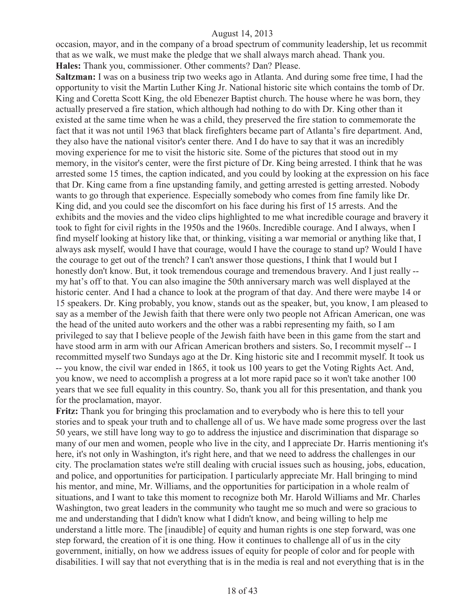occasion, mayor, and in the company of a broad spectrum of community leadership, let us recommit that as we walk, we must make the pledge that we shall always march ahead. Thank you. **Hales:** Thank you, commissioner. Other comments? Dan? Please.

**Saltzman:** I was on a business trip two weeks ago in Atlanta. And during some free time, I had the opportunity to visit the Martin Luther King Jr. National historic site which contains the tomb of Dr. King and Coretta Scott King, the old Ebenezer Baptist church. The house where he was born, they actually preserved a fire station, which although had nothing to do with Dr. King other than it existed at the same time when he was a child, they preserved the fire station to commemorate the fact that it was not until 1963 that black firefighters became part of Atlanta's fire department. And, they also have the national visitor's center there. And I do have to say that it was an incredibly moving experience for me to visit the historic site. Some of the pictures that stood out in my memory, in the visitor's center, were the first picture of Dr. King being arrested. I think that he was arrested some 15 times, the caption indicated, and you could by looking at the expression on his face that Dr. King came from a fine upstanding family, and getting arrested is getting arrested. Nobody wants to go through that experience. Especially somebody who comes from fine family like Dr. King did, and you could see the discomfort on his face during his first of 15 arrests. And the exhibits and the movies and the video clips highlighted to me what incredible courage and bravery it took to fight for civil rights in the 1950s and the 1960s. Incredible courage. And I always, when I find myself looking at history like that, or thinking, visiting a war memorial or anything like that, I always ask myself, would I have that courage, would I have the courage to stand up? Would I have the courage to get out of the trench? I can't answer those questions, I think that I would but I honestly don't know. But, it took tremendous courage and tremendous bravery. And I just really - my hat's off to that. You can also imagine the 50th anniversary march was well displayed at the historic center. And I had a chance to look at the program of that day. And there were maybe 14 or 15 speakers. Dr. King probably, you know, stands out as the speaker, but, you know, I am pleased to say as a member of the Jewish faith that there were only two people not African American, one was the head of the united auto workers and the other was a rabbi representing my faith, so I am privileged to say that I believe people of the Jewish faith have been in this game from the start and have stood arm in arm with our African American brothers and sisters. So, I recommit myself -- I recommitted myself two Sundays ago at the Dr. King historic site and I recommit myself. It took us -- you know, the civil war ended in 1865, it took us 100 years to get the Voting Rights Act. And, you know, we need to accomplish a progress at a lot more rapid pace so it won't take another 100 years that we see full equality in this country. So, thank you all for this presentation, and thank you for the proclamation, mayor.

**Fritz:** Thank you for bringing this proclamation and to everybody who is here this to tell your stories and to speak your truth and to challenge all of us. We have made some progress over the last 50 years, we still have long way to go to address the injustice and discrimination that disparage so many of our men and women, people who live in the city, and I appreciate Dr. Harris mentioning it's here, it's not only in Washington, it's right here, and that we need to address the challenges in our city. The proclamation states we're still dealing with crucial issues such as housing, jobs, education, and police, and opportunities for participation. I particularly appreciate Mr. Hall bringing to mind his mentor, and mine, Mr. Williams, and the opportunities for participation in a whole realm of situations, and I want to take this moment to recognize both Mr. Harold Williams and Mr. Charles Washington, two great leaders in the community who taught me so much and were so gracious to me and understanding that I didn't know what I didn't know, and being willing to help me understand a little more. The [inaudible] of equity and human rights is one step forward, was one step forward, the creation of it is one thing. How it continues to challenge all of us in the city government, initially, on how we address issues of equity for people of color and for people with disabilities. I will say that not everything that is in the media is real and not everything that is in the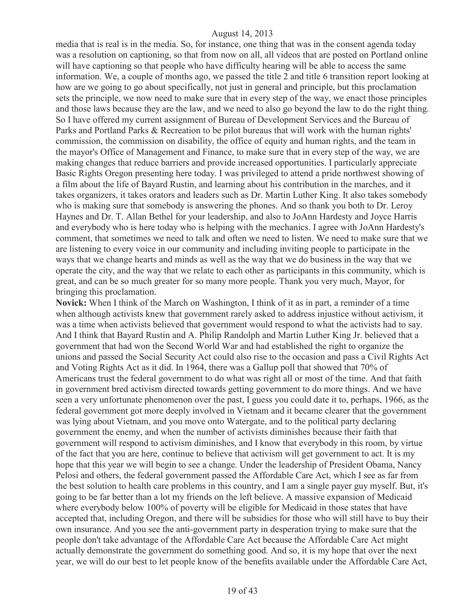media that is real is in the media. So, for instance, one thing that was in the consent agenda today was a resolution on captioning, so that from now on all, all videos that are posted on Portland online will have captioning so that people who have difficulty hearing will be able to access the same information. We, a couple of months ago, we passed the title 2 and title 6 transition report looking at how are we going to go about specifically, not just in general and principle, but this proclamation sets the principle, we now need to make sure that in every step of the way, we enact those principles and those laws because they are the law, and we need to also go beyond the law to do the right thing. So I have offered my current assignment of Bureau of Development Services and the Bureau of Parks and Portland Parks & Recreation to be pilot bureaus that will work with the human rights' commission, the commission on disability, the office of equity and human rights, and the team in the mayor's Office of Management and Finance, to make sure that in every step of the way, we are making changes that reduce barriers and provide increased opportunities. I particularly appreciate Basic Rights Oregon presenting here today. I was privileged to attend a pride northwest showing of a film about the life of Bayard Rustin, and learning about his contribution in the marches, and it takes organizers, it takes orators and leaders such as Dr. Martin Luther King. It also takes somebody who is making sure that somebody is answering the phones. And so thank you both to Dr. Leroy Haynes and Dr. T. Allan Bethel for your leadership, and also to JoAnn Hardesty and Joyce Harris and everybody who is here today who is helping with the mechanics. I agree with JoAnn Hardesty's comment, that sometimes we need to talk and often we need to listen. We need to make sure that we are listening to every voice in our community and including inviting people to participate in the ways that we change hearts and minds as well as the way that we do business in the way that we operate the city, and the way that we relate to each other as participants in this community, which is great, and can be so much greater for so many more people. Thank you very much, Mayor, for bringing this proclamation.

**Novick:** When I think of the March on Washington, I think of it as in part, a reminder of a time when although activists knew that government rarely asked to address injustice without activism, it was a time when activists believed that government would respond to what the activists had to say. And I think that Bayard Rustin and A. Philip Randolph and Martin Luther King Jr. believed that a government that had won the Second World War and had established the right to organize the unions and passed the Social Security Act could also rise to the occasion and pass a Civil Rights Act and Voting Rights Act as it did. In 1964, there was a Gallup poll that showed that 70% of Americans trust the federal government to do what was right all or most of the time. And that faith in government bred activism directed towards getting government to do more things. And we have seen a very unfortunate phenomenon over the past, I guess you could date it to, perhaps, 1966, as the federal government got more deeply involved in Vietnam and it became clearer that the government was lying about Vietnam, and you move onto Watergate, and to the political party declaring government the enemy, and when the number of activists diminishes because their faith that government will respond to activism diminishes, and I know that everybody in this room, by virtue of the fact that you are here, continue to believe that activism will get government to act. It is my hope that this year we will begin to see a change. Under the leadership of President Obama, Nancy Pelosi and others, the federal government passed the Affordable Care Act, which I see as far from the best solution to health care problems in this country, and I am a single payer guy myself. But, it's going to be far better than a lot my friends on the left believe. A massive expansion of Medicaid where everybody below 100% of poverty will be eligible for Medicaid in those states that have accepted that, including Oregon, and there will be subsidies for those who will still have to buy their own insurance. And you see the anti-government party in desperation trying to make sure that the people don't take advantage of the Affordable Care Act because the Affordable Care Act might actually demonstrate the government do something good. And so, it is my hope that over the next year, we will do our best to let people know of the benefits available under the Affordable Care Act,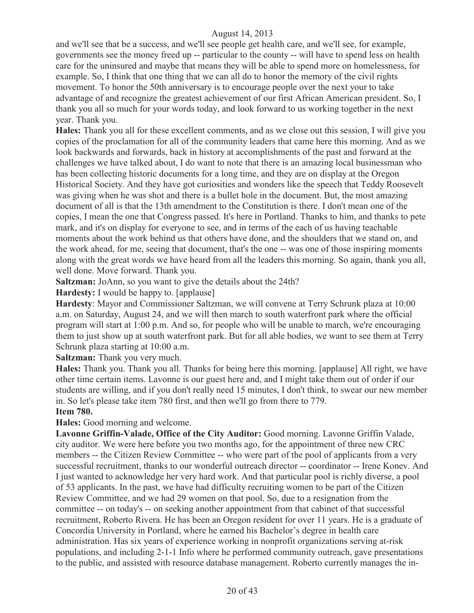and we'll see that be a success, and we'll see people get health care, and we'll see, for example, governments see the money freed up -- particular to the county -- will have to spend less on health care for the uninsured and maybe that means they will be able to spend more on homelessness, for example. So, I think that one thing that we can all do to honor the memory of the civil rights movement. To honor the 50th anniversary is to encourage people over the next your to take advantage of and recognize the greatest achievement of our first African American president. So, I thank you all so much for your words today, and look forward to us working together in the next year. Thank you.

**Hales:** Thank you all for these excellent comments, and as we close out this session, I will give you copies of the proclamation for all of the community leaders that came here this morning. And as we look backwards and forwards, back in history at accomplishments of the past and forward at the challenges we have talked about, I do want to note that there is an amazing local businessman who has been collecting historic documents for a long time, and they are on display at the Oregon Historical Society. And they have got curiosities and wonders like the speech that Teddy Roosevelt was giving when he was shot and there is a bullet hole in the document. But, the most amazing document of all is that the 13th amendment to the Constitution is there. I don't mean one of the copies, I mean the one that Congress passed. It's here in Portland. Thanks to him, and thanks to pete mark, and it's on display for everyone to see, and in terms of the each of us having teachable moments about the work behind us that others have done, and the shoulders that we stand on, and the work ahead, for me, seeing that document, that's the one -- was one of those inspiring moments along with the great words we have heard from all the leaders this morning. So again, thank you all, well done. Move forward. Thank you.

**Saltzman:** JoAnn, so you want to give the details about the 24th?

**Hardesty:** I would be happy to. [applause]

**Hardesty**: Mayor and Commissioner Saltzman, we will convene at Terry Schrunk plaza at 10:00 a.m. on Saturday, August 24, and we will then march to south waterfront park where the official program will start at 1:00 p.m. And so, for people who will be unable to march, we're encouraging them to just show up at south waterfront park. But for all able bodies, we want to see them at Terry Schrunk plaza starting at 10:00 a.m.

**Saltzman:** Thank you very much.

**Hales:** Thank you. Thank you all. Thanks for being here this morning. [applause] All right, we have other time certain items. Lavonne is our guest here and, and I might take them out of order if our students are willing, and if you don't really need 15 minutes, I don't think, to swear our new member in. So let's please take item 780 first, and then we'll go from there to 779.

#### **Item 780.**

**Hales:** Good morning and welcome.

Lavonne Griffin-Valade, Office of the City Auditor: Good morning. Lavonne Griffin Valade, city auditor. We were here before you two months ago, for the appointment of three new CRC members -- the Citizen Review Committee -- who were part of the pool of applicants from a very successful recruitment, thanks to our wonderful outreach director -- coordinator -- Irene Konev. And I just wanted to acknowledge her very hard work. And that particular pool is richly diverse, a pool of 53 applicants. In the past, we have had difficulty recruiting women to be part of the Citizen Review Committee, and we had 29 women on that pool. So, due to a resignation from the committee -- on today's -- on seeking another appointment from that cabinet of that successful recruitment, Roberto Rivera. He has been an Oregon resident for over 11 years. He is a graduate of Concordia University in Portland, where he earned his Bachelor's degree in health care administration. Has six years of experience working in nonprofit organizations serving at-risk populations, and including 2-1-1 Info where he performed community outreach, gave presentations to the public, and assisted with resource database management. Roberto currently manages the in-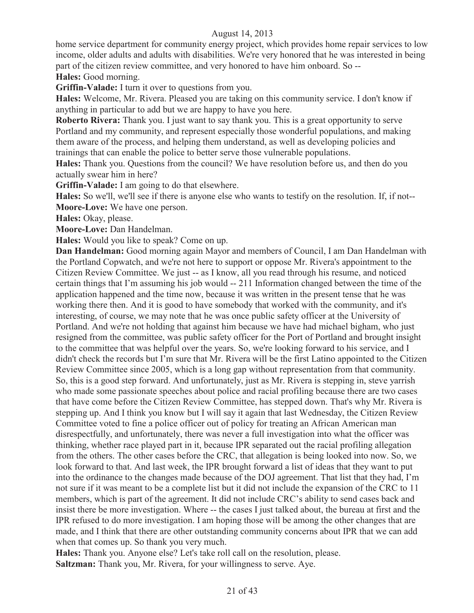home service department for community energy project, which provides home repair services to low income, older adults and adults with disabilities. We're very honored that he was interested in being part of the citizen review committee, and very honored to have him onboard. So --

**Hales:** Good morning.

**Griffin-Valade:** I turn it over to questions from you.

**Hales:** Welcome, Mr. Rivera. Pleased you are taking on this community service. I don't know if anything in particular to add but we are happy to have you here.

**Roberto Rivera:** Thank you. I just want to say thank you. This is a great opportunity to serve Portland and my community, and represent especially those wonderful populations, and making them aware of the process, and helping them understand, as well as developing policies and trainings that can enable the police to better serve those vulnerable populations.

**Hales:** Thank you. Questions from the council? We have resolution before us, and then do you actually swear him in here?

**Griffin-Valade:** I am going to do that elsewhere.

**Hales:** So we'll, we'll see if there is anyone else who wants to testify on the resolution. If, if not-- **Moore-Love:** We have one person.

**Hales:** Okay, please.

**Moore-Love:** Dan Handelman.

**Hales:** Would you like to speak? Come on up.

**Dan Handelman:** Good morning again Mayor and members of Council, I am Dan Handelman with the Portland Copwatch, and we're not here to support or oppose Mr. Rivera's appointment to the Citizen Review Committee. We just -- as I know, all you read through his resume, and noticed certain things that I'm assuming his job would -- 211 Information changed between the time of the application happened and the time now, because it was written in the present tense that he was working there then. And it is good to have somebody that worked with the community, and it's interesting, of course, we may note that he was once public safety officer at the University of Portland. And we're not holding that against him because we have had michael bigham, who just resigned from the committee, was public safety officer for the Port of Portland and brought insight to the committee that was helpful over the years. So, we're looking forward to his service, and I didn't check the records but I'm sure that Mr. Rivera will be the first Latino appointed to the Citizen Review Committee since 2005, which is a long gap without representation from that community. So, this is a good step forward. And unfortunately, just as Mr. Rivera is stepping in, steve yarrish who made some passionate speeches about police and racial profiling because there are two cases that have come before the Citizen Review Committee, has stepped down. That's why Mr. Rivera is stepping up. And I think you know but I will say it again that last Wednesday, the Citizen Review Committee voted to fine a police officer out of policy for treating an African American man disrespectfully, and unfortunately, there was never a full investigation into what the officer was thinking, whether race played part in it, because IPR separated out the racial profiling allegation from the others. The other cases before the CRC, that allegation is being looked into now. So, we look forward to that. And last week, the IPR brought forward a list of ideas that they want to put into the ordinance to the changes made because of the DOJ agreement. That list that they had, I'm not sure if it was meant to be a complete list but it did not include the expansion of the CRC to 11 members, which is part of the agreement. It did not include CRC's ability to send cases back and insist there be more investigation. Where -- the cases I just talked about, the bureau at first and the IPR refused to do more investigation. I am hoping those will be among the other changes that are made, and I think that there are other outstanding community concerns about IPR that we can add when that comes up. So thank you very much.

**Hales:** Thank you. Anyone else? Let's take roll call on the resolution, please. **Saltzman:** Thank you, Mr. Rivera, for your willingness to serve. Aye.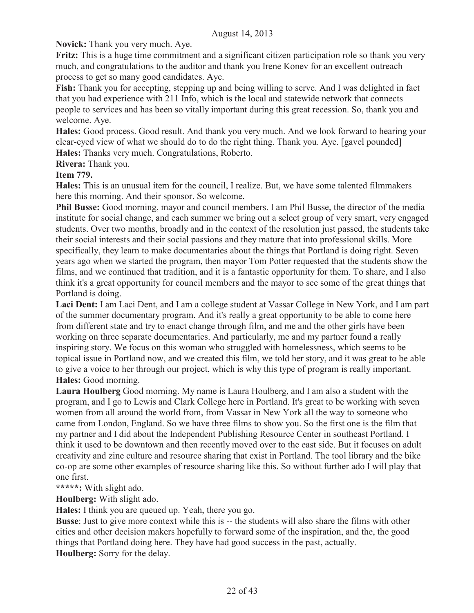**Novick:** Thank you very much. Aye.

**Fritz:** This is a huge time commitment and a significant citizen participation role so thank you very much, and congratulations to the auditor and thank you Irene Konev for an excellent outreach process to get so many good candidates. Aye.

**Fish:** Thank you for accepting, stepping up and being willing to serve. And I was delighted in fact that you had experience with 211 Info, which is the local and statewide network that connects people to services and has been so vitally important during this great recession. So, thank you and welcome. Aye.

**Hales:** Good process. Good result. And thank you very much. And we look forward to hearing your clear-eyed view of what we should do to do the right thing. Thank you. Aye. [gavel pounded] **Hales:** Thanks very much. Congratulations, Roberto.

**Rivera:** Thank you.

**Item 779.**

**Hales:** This is an unusual item for the council, I realize. But, we have some talented filmmakers here this morning. And their sponsor. So welcome.

**Phil Busse:** Good morning, mayor and council members. I am Phil Busse, the director of the media institute for social change, and each summer we bring out a select group of very smart, very engaged students. Over two months, broadly and in the context of the resolution just passed, the students take their social interests and their social passions and they mature that into professional skills. More specifically, they learn to make documentaries about the things that Portland is doing right. Seven years ago when we started the program, then mayor Tom Potter requested that the students show the films, and we continued that tradition, and it is a fantastic opportunity for them. To share, and I also think it's a great opportunity for council members and the mayor to see some of the great things that Portland is doing.

**Laci Dent:** I am Laci Dent, and I am a college student at Vassar College in New York, and I am part of the summer documentary program. And it's really a great opportunity to be able to come here from different state and try to enact change through film, and me and the other girls have been working on three separate documentaries. And particularly, me and my partner found a really inspiring story. We focus on this woman who struggled with homelessness, which seems to be topical issue in Portland now, and we created this film, we told her story, and it was great to be able to give a voice to her through our project, which is why this type of program is really important. **Hales:** Good morning.

**Laura Houlberg** Good morning. My name is Laura Houlberg, and I am also a student with the program, and I go to Lewis and Clark College here in Portland. It's great to be working with seven women from all around the world from, from Vassar in New York all the way to someone who came from London, England. So we have three films to show you. So the first one is the film that my partner and I did about the Independent Publishing Resource Center in southeast Portland. I think it used to be downtown and then recently moved over to the east side. But it focuses on adult creativity and zine culture and resource sharing that exist in Portland. The tool library and the bike co-op are some other examples of resource sharing like this. So without further ado I will play that one first.

**\*\*\*\*\*:** With slight ado.

**Houlberg:** With slight ado.

**Hales:** I think you are queued up. Yeah, there you go.

**Busse**: Just to give more context while this is -- the students will also share the films with other cities and other decision makers hopefully to forward some of the inspiration, and the, the good things that Portland doing here. They have had good success in the past, actually.

**Houlberg:** Sorry for the delay.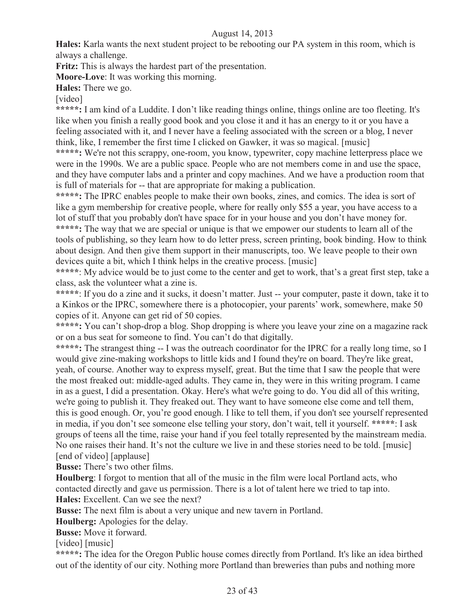**Hales:** Karla wants the next student project to be rebooting our PA system in this room, which is always a challenge.

**Fritz:** This is always the hardest part of the presentation.

**Moore-Love**: It was working this morning.

**Hales:** There we go.

[video]

\*\*\*\*\*: I am kind of a Luddite. I don't like reading things online, things online are too fleeting. It's like when you finish a really good book and you close it and it has an energy to it or you have a feeling associated with it, and I never have a feeling associated with the screen or a blog, I never think, like, I remember the first time I clicked on Gawker, it was so magical. [music]

**\*\*\*\*\*:** We're not this scrappy, one-room, you know, typewriter, copy machine letterpress place we were in the 1990s. We are a public space. People who are not members come in and use the space, and they have computer labs and a printer and copy machines. And we have a production room that is full of materials for -- that are appropriate for making a publication.

**\*\*\*\*\*:** The IPRC enables people to make their own books, zines, and comics. The idea is sort of like a gym membership for creative people, where for really only \$55 a year, you have access to a lot of stuff that you probably don't have space for in your house and you don't have money for. **\*\*\*\*\*:** The way that we are special or unique is that we empower our students to learn all of the

tools of publishing, so they learn how to do letter press, screen printing, book binding. How to think about design. And then give them support in their manuscripts, too. We leave people to their own devices quite a bit, which I think helps in the creative process. [music]

**\*\*\*\*\***: My advice would be to just come to the center and get to work, that's a great first step, take a class, ask the volunteer what a zine is.

**\*\*\*\*\***: If you do a zine and it sucks, it doesn't matter. Just -- your computer, paste it down, take it to a Kinkos or the IPRC, somewhere there is a photocopier, your parents' work, somewhere, make 50 copies of it. Anyone can get rid of 50 copies.

\*\*\*\*\*: You can't shop-drop a blog. Shop dropping is where you leave your zine on a magazine rack or on a bus seat for someone to find. You can't do that digitally.

**\*\*\*\*\*:** The strangest thing -- I was the outreach coordinator for the IPRC for a really long time, so I would give zine-making workshops to little kids and I found they're on board. They're like great, yeah, of course. Another way to express myself, great. But the time that I saw the people that were the most freaked out: middle-aged adults. They came in, they were in this writing program. I came in as a guest, I did a presentation. Okay. Here's what we're going to do. You did all of this writing, we're going to publish it. They freaked out. They want to have someone else come and tell them, this is good enough. Or, you're good enough. I like to tell them, if you don't see yourself represented in media, if you don't see someone else telling your story, don't wait, tell it yourself. **\*\*\*\*\***: I ask groups of teens all the time, raise your hand if you feel totally represented by the mainstream media. No one raises their hand. It's not the culture we live in and these stories need to be told. [music] [end of video] [applause]

**Busse:** There's two other films.

**Houlberg**: I forgot to mention that all of the music in the film were local Portland acts, who contacted directly and gave us permission. There is a lot of talent here we tried to tap into. **Hales:** Excellent. Can we see the next?

**Busse:** The next film is about a very unique and new tavern in Portland.

**Houlberg:** Apologies for the delay.

**Busse:** Move it forward.

[video] [music]

**\*\*\*\*\*:** The idea for the Oregon Public house comes directly from Portland. It's like an idea birthed out of the identity of our city. Nothing more Portland than breweries than pubs and nothing more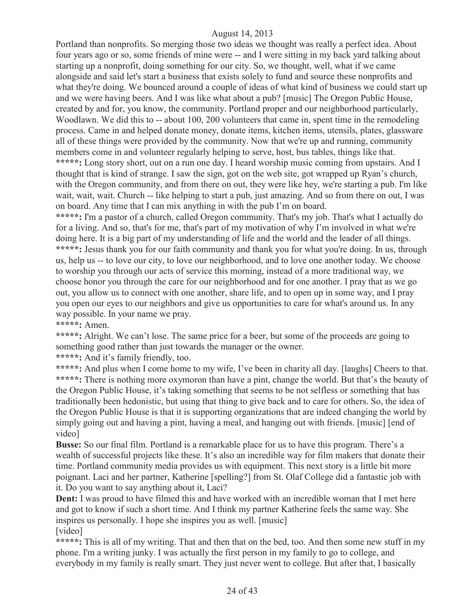Portland than nonprofits. So merging those two ideas we thought was really a perfect idea. About four years ago or so, some friends of mine were -- and I were sitting in my back yard talking about starting up a nonprofit, doing something for our city. So, we thought, well, what if we came alongside and said let's start a business that exists solely to fund and source these nonprofits and what they're doing. We bounced around a couple of ideas of what kind of business we could start up and we were having beers. And I was like what about a pub? [music] The Oregon Public House, created by and for, you know, the community. Portland proper and our neighborhood particularly, Woodlawn. We did this to -- about 100, 200 volunteers that came in, spent time in the remodeling process. Came in and helped donate money, donate items, kitchen items, utensils, plates, glassware all of these things were provided by the community. Now that we're up and running, community members come in and volunteer regularly helping to serve, host, bus tables, things like that. **\*\*\*\*\*:** Long story short, out on a run one day. I heard worship music coming from upstairs. And I thought that is kind of strange. I saw the sign, got on the web site, got wrapped up Ryan's church, with the Oregon community, and from there on out, they were like hey, we're starting a pub. I'm like wait, wait, wait. Church -- like helping to start a pub, just amazing. And so from there on out, I was on board. Any time that I can mix anything in with the pub I'm on board.

**\*\*\*\*\*:** I'm a pastor of a church, called Oregon community. That's my job. That's what I actually do for a living. And so, that's for me, that's part of my motivation of why I'm involved in what we're doing here. It is a big part of my understanding of life and the world and the leader of all things. **\*\*\*\*\*:** Jesus thank you for our faith community and thank you for what you're doing. In us, through us, help us -- to love our city, to love our neighborhood, and to love one another today. We choose to worship you through our acts of service this morning, instead of a more traditional way, we choose honor you through the care for our neighborhood and for one another. I pray that as we go out, you allow us to connect with one another, share life, and to open up in some way, and I pray you open our eyes to our neighbors and give us opportunities to care for what's around us. In any way possible. In your name we pray.

**\*\*\*\*\*:** Amen.

\*\*\*\*\*: Alright. We can't lose. The same price for a beer, but some of the proceeds are going to something good rather than just towards the manager or the owner.

**\*\*\*\*\*:** And it's family friendly, too.

**\*\*\*\*\*:** And plus when I come home to my wife, I've been in charity all day. [laughs] Cheers to that. **\*\*\*\*\*:** There is nothing more oxymoron than have a pint, change the world. But that's the beauty of the Oregon Public House, it's taking something that seems to be not selfless or something that has traditionally been hedonistic, but using that thing to give back and to care for others. So, the idea of the Oregon Public House is that it is supporting organizations that are indeed changing the world by simply going out and having a pint, having a meal, and hanging out with friends. [music] [end of video]

**Busse:** So our final film. Portland is a remarkable place for us to have this program. There's a wealth of successful projects like these. It's also an incredible way for film makers that donate their time. Portland community media provides us with equipment. This next story is a little bit more poignant. Laci and her partner, Katherine [spelling?] from St. Olaf College did a fantastic job with it. Do you want to say anything about it, Laci?

**Dent:** I was proud to have filmed this and have worked with an incredible woman that I met here and got to know if such a short time. And I think my partner Katherine feels the same way. She inspires us personally. I hope she inspires you as well. [music]

[video]

**\*\*\*\*\*:** This is all of my writing. That and then that on the bed, too. And then some new stuff in my phone. I'm a writing junky. I was actually the first person in my family to go to college, and everybody in my family is really smart. They just never went to college. But after that, I basically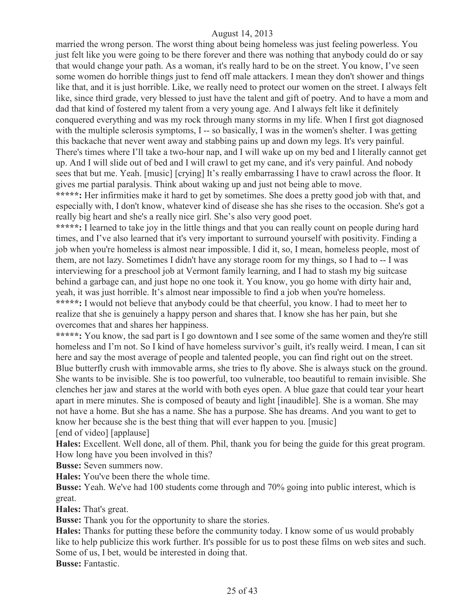married the wrong person. The worst thing about being homeless was just feeling powerless. You just felt like you were going to be there forever and there was nothing that anybody could do or say that would change your path. As a woman, it's really hard to be on the street. You know, I've seen some women do horrible things just to fend off male attackers. I mean they don't shower and things like that, and it is just horrible. Like, we really need to protect our women on the street. I always felt like, since third grade, very blessed to just have the talent and gift of poetry. And to have a mom and dad that kind of fostered my talent from a very young age. And I always felt like it definitely conquered everything and was my rock through many storms in my life. When I first got diagnosed with the multiple sclerosis symptoms, I -- so basically, I was in the women's shelter. I was getting this backache that never went away and stabbing pains up and down my legs. It's very painful. There's times where I'll take a two-hour nap, and I will wake up on my bed and I literally cannot get up. And I will slide out of bed and I will crawl to get my cane, and it's very painful. And nobody sees that but me. Yeah. [music] [crying] It's really embarrassing I have to crawl across the floor. It gives me partial paralysis. Think about waking up and just not being able to move.

**\*\*\*\*\*:** Her infirmities make it hard to get by sometimes. She does a pretty good job with that, and especially with, I don't know, whatever kind of disease she has she rises to the occasion. She's got a really big heart and she's a really nice girl. She's also very good poet.

**\*\*\*\*\*:** I learned to take joy in the little things and that you can really count on people during hard times, and I've also learned that it's very important to surround yourself with positivity. Finding a job when you're homeless is almost near impossible. I did it, so, I mean, homeless people, most of them, are not lazy. Sometimes I didn't have any storage room for my things, so I had to -- I was interviewing for a preschool job at Vermont family learning, and I had to stash my big suitcase behind a garbage can, and just hope no one took it. You know, you go home with dirty hair and, yeah, it was just horrible. It's almost near impossible to find a job when you're homeless. **\*\*\*\*\*:** I would not believe that anybody could be that cheerful, you know. I had to meet her to realize that she is genuinely a happy person and shares that. I know she has her pain, but she overcomes that and shares her happiness.

**\*\*\*\*\*:** You know, the sad part is I go downtown and I see some of the same women and they're still homeless and I'm not. So I kind of have homeless survivor's guilt, it's really weird. I mean, I can sit here and say the most average of people and talented people, you can find right out on the street. Blue butterfly crush with immovable arms, she tries to fly above. She is always stuck on the ground. She wants to be invisible. She is too powerful, too vulnerable, too beautiful to remain invisible. She clenches her jaw and stares at the world with both eyes open. A blue gaze that could tear your heart apart in mere minutes. She is composed of beauty and light [inaudible]. She is a woman. She may not have a home. But she has a name. She has a purpose. She has dreams. And you want to get to know her because she is the best thing that will ever happen to you. [music] [end of video] [applause]

**Hales:** Excellent. Well done, all of them. Phil, thank you for being the guide for this great program. How long have you been involved in this?

**Busse:** Seven summers now.

**Hales:** You've been there the whole time.

**Busse:** Yeah. We've had 100 students come through and 70% going into public interest, which is great.

**Hales:** That's great.

**Busse:** Thank you for the opportunity to share the stories.

**Hales:** Thanks for putting these before the community today. I know some of us would probably like to help publicize this work further. It's possible for us to post these films on web sites and such. Some of us, I bet, would be interested in doing that.

**Busse:** Fantastic.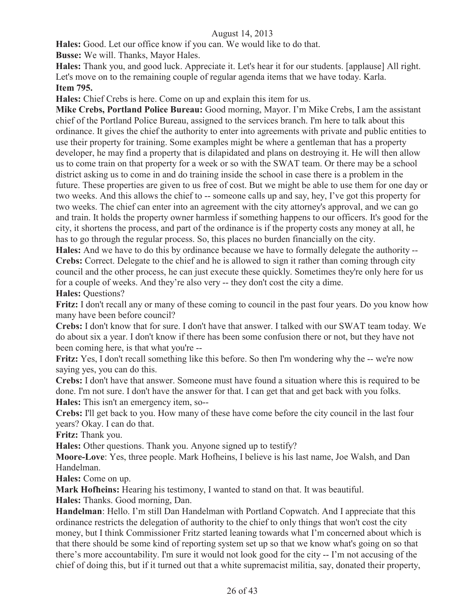**Hales:** Good. Let our office know if you can. We would like to do that.

**Busse:** We will. Thanks, Mayor Hales.

**Hales:** Thank you, and good luck. Appreciate it. Let's hear it for our students. [applause] All right. Let's move on to the remaining couple of regular agenda items that we have today. Karla. **Item 795.**

**Hales:** Chief Crebs is here. Come on up and explain this item for us.

**Mike Crebs, Portland Police Bureau:** Good morning, Mayor. I'm Mike Crebs, I am the assistant chief of the Portland Police Bureau, assigned to the services branch. I'm here to talk about this ordinance. It gives the chief the authority to enter into agreements with private and public entities to use their property for training. Some examples might be where a gentleman that has a property developer, he may find a property that is dilapidated and plans on destroying it. He will then allow us to come train on that property for a week or so with the SWAT team. Or there may be a school district asking us to come in and do training inside the school in case there is a problem in the future. These properties are given to us free of cost. But we might be able to use them for one day or two weeks. And this allows the chief to -- someone calls up and say, hey, I've got this property for two weeks. The chief can enter into an agreement with the city attorney's approval, and we can go and train. It holds the property owner harmless if something happens to our officers. It's good for the city, it shortens the process, and part of the ordinance is if the property costs any money at all, he has to go through the regular process. So, this places no burden financially on the city.

**Hales:** And we have to do this by ordinance because we have to formally delegate the authority -- **Crebs:** Correct. Delegate to the chief and he is allowed to sign it rather than coming through city council and the other process, he can just execute these quickly. Sometimes they're only here for us for a couple of weeks. And they're also very -- they don't cost the city a dime. **Hales:** Questions?

**Fritz:** I don't recall any or many of these coming to council in the past four years. Do you know how many have been before council?

**Crebs:** I don't know that for sure. I don't have that answer. I talked with our SWAT team today. We do about six a year. I don't know if there has been some confusion there or not, but they have not been coming here, is that what you're --

**Fritz:** Yes, I don't recall something like this before. So then I'm wondering why the -- we're now saying yes, you can do this.

**Crebs:** I don't have that answer. Someone must have found a situation where this is required to be done. I'm not sure. I don't have the answer for that. I can get that and get back with you folks. **Hales:** This isn't an emergency item, so--

**Crebs:** I'll get back to you. How many of these have come before the city council in the last four years? Okay. I can do that.

**Fritz:** Thank you.

**Hales:** Other questions. Thank you. Anyone signed up to testify?

**Moore-Love**: Yes, three people. Mark Hofheins, I believe is his last name, Joe Walsh, and Dan Handelman.

**Hales:** Come on up.

**Mark Hofheins:** Hearing his testimony, I wanted to stand on that. It was beautiful.

**Hales:** Thanks. Good morning, Dan.

**Handelman**: Hello. I'm still Dan Handelman with Portland Copwatch. And I appreciate that this ordinance restricts the delegation of authority to the chief to only things that won't cost the city money, but I think Commissioner Fritz started leaning towards what I'm concerned about which is that there should be some kind of reporting system set up so that we know what's going on so that there's more accountability. I'm sure it would not look good for the city -- I'm not accusing of the chief of doing this, but if it turned out that a white supremacist militia, say, donated their property,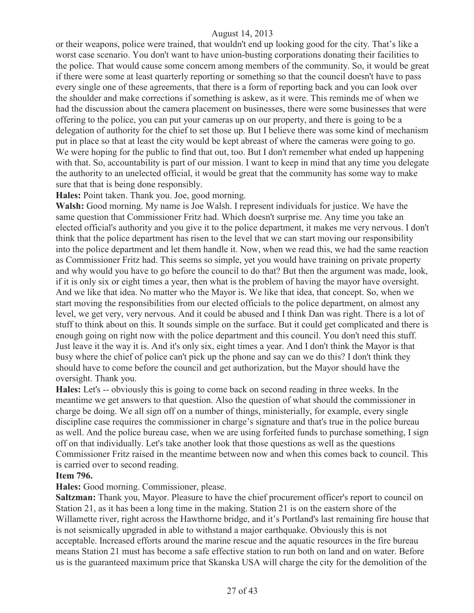or their weapons, police were trained, that wouldn't end up looking good for the city. That's like a worst case scenario. You don't want to have union-busting corporations donating their facilities to the police. That would cause some concern among members of the community. So, it would be great if there were some at least quarterly reporting or something so that the council doesn't have to pass every single one of these agreements, that there is a form of reporting back and you can look over the shoulder and make corrections if something is askew, as it were. This reminds me of when we had the discussion about the camera placement on businesses, there were some businesses that were offering to the police, you can put your cameras up on our property, and there is going to be a delegation of authority for the chief to set those up. But I believe there was some kind of mechanism put in place so that at least the city would be kept abreast of where the cameras were going to go. We were hoping for the public to find that out, too. But I don't remember what ended up happening with that. So, accountability is part of our mission. I want to keep in mind that any time you delegate the authority to an unelected official, it would be great that the community has some way to make sure that that is being done responsibly.

**Hales:** Point taken. Thank you. Joe, good morning.

**Walsh:** Good morning. My name is Joe Walsh. I represent individuals for justice. We have the same question that Commissioner Fritz had. Which doesn't surprise me. Any time you take an elected official's authority and you give it to the police department, it makes me very nervous. I don't think that the police department has risen to the level that we can start moving our responsibility into the police department and let them handle it. Now, when we read this, we had the same reaction as Commissioner Fritz had. This seems so simple, yet you would have training on private property and why would you have to go before the council to do that? But then the argument was made, look, if it is only six or eight times a year, then what is the problem of having the mayor have oversight. And we like that idea. No matter who the Mayor is. We like that idea, that concept. So, when we start moving the responsibilities from our elected officials to the police department, on almost any level, we get very, very nervous. And it could be abused and I think Dan was right. There is a lot of stuff to think about on this. It sounds simple on the surface. But it could get complicated and there is enough going on right now with the police department and this council. You don't need this stuff. Just leave it the way it is. And it's only six, eight times a year. And I don't think the Mayor is that busy where the chief of police can't pick up the phone and say can we do this? I don't think they should have to come before the council and get authorization, but the Mayor should have the oversight. Thank you.

**Hales:** Let's -- obviously this is going to come back on second reading in three weeks. In the meantime we get answers to that question. Also the question of what should the commissioner in charge be doing. We all sign off on a number of things, ministerially, for example, every single discipline case requires the commissioner in charge's signature and that's true in the police bureau as well. And the police bureau case, when we are using forfeited funds to purchase something, I sign off on that individually. Let's take another look that those questions as well as the questions Commissioner Fritz raised in the meantime between now and when this comes back to council. This is carried over to second reading.

#### **Item 796.**

#### **Hales:** Good morning. Commissioner, please.

**Saltzman:** Thank you, Mayor. Pleasure to have the chief procurement officer's report to council on Station 21, as it has been a long time in the making. Station 21 is on the eastern shore of the Willamette river, right across the Hawthorne bridge, and it's Portland's last remaining fire house that is not seismically upgraded in able to withstand a major earthquake. Obviously this is not acceptable. Increased efforts around the marine rescue and the aquatic resources in the fire bureau means Station 21 must has become a safe effective station to run both on land and on water. Before us is the guaranteed maximum price that Skanska USA will charge the city for the demolition of the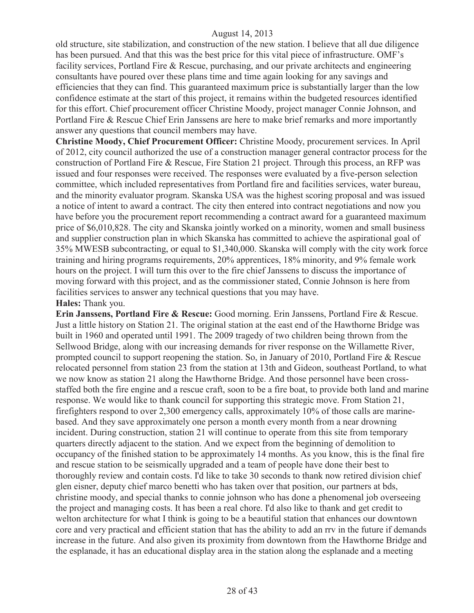old structure, site stabilization, and construction of the new station. I believe that all due diligence has been pursued. And that this was the best price for this vital piece of infrastructure. OMF's facility services, Portland Fire & Rescue, purchasing, and our private architects and engineering consultants have poured over these plans time and time again looking for any savings and efficiencies that they can find. This guaranteed maximum price is substantially larger than the low confidence estimate at the start of this project, it remains within the budgeted resources identified for this effort. Chief procurement officer Christine Moody, project manager Connie Johnson, and Portland Fire & Rescue Chief Erin Janssens are here to make brief remarks and more importantly answer any questions that council members may have.

**Christine Moody, Chief Procurement Officer:** Christine Moody, procurement services. In April of 2012, city council authorized the use of a construction manager general contractor process for the construction of Portland Fire & Rescue, Fire Station 21 project. Through this process, an RFP was issued and four responses were received. The responses were evaluated by a five-person selection committee, which included representatives from Portland fire and facilities services, water bureau, and the minority evaluator program. Skanska USA was the highest scoring proposal and was issued a notice of intent to award a contract. The city then entered into contract negotiations and now you have before you the procurement report recommending a contract award for a guaranteed maximum price of \$6,010,828. The city and Skanska jointly worked on a minority, women and small business and supplier construction plan in which Skanska has committed to achieve the aspirational goal of 35% MWESB subcontracting, or equal to \$1,340,000. Skanska will comply with the city work force training and hiring programs requirements, 20% apprentices, 18% minority, and 9% female work hours on the project. I will turn this over to the fire chief Janssens to discuss the importance of moving forward with this project, and as the commissioner stated, Connie Johnson is here from facilities services to answer any technical questions that you may have. **Hales:** Thank you.

**Erin Janssens, Portland Fire & Rescue:** Good morning. Erin Janssens, Portland Fire & Rescue. Just a little history on Station 21. The original station at the east end of the Hawthorne Bridge was built in 1960 and operated until 1991. The 2009 tragedy of two children being thrown from the Sellwood Bridge, along with our increasing demands for river response on the Willamette River, prompted council to support reopening the station. So, in January of 2010, Portland Fire & Rescue relocated personnel from station 23 from the station at 13th and Gideon, southeast Portland, to what we now know as station 21 along the Hawthorne Bridge. And those personnel have been crossstaffed both the fire engine and a rescue craft, soon to be a fire boat, to provide both land and marine response. We would like to thank council for supporting this strategic move. From Station 21, firefighters respond to over 2,300 emergency calls, approximately 10% of those calls are marinebased. And they save approximately one person a month every month from a near drowning incident. During construction, station 21 will continue to operate from this site from temporary quarters directly adjacent to the station. And we expect from the beginning of demolition to occupancy of the finished station to be approximately 14 months. As you know, this is the final fire and rescue station to be seismically upgraded and a team of people have done their best to thoroughly review and contain costs. I'd like to take 30 seconds to thank now retired division chief glen eisner, deputy chief marco benetti who has taken over that position, our partners at bds, christine moody, and special thanks to connie johnson who has done a phenomenal job overseeing the project and managing costs. It has been a real chore. I'd also like to thank and get credit to welton architecture for what I think is going to be a beautiful station that enhances our downtown core and very practical and efficient station that has the ability to add an rrv in the future if demands increase in the future. And also given its proximity from downtown from the Hawthorne Bridge and the esplanade, it has an educational display area in the station along the esplanade and a meeting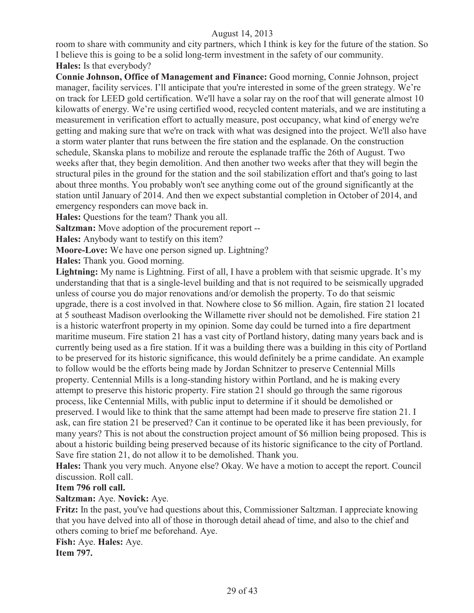room to share with community and city partners, which I think is key for the future of the station. So I believe this is going to be a solid long-term investment in the safety of our community. **Hales:** Is that everybody?

**Connie Johnson, Office of Management and Finance:** Good morning, Connie Johnson, project manager, facility services. I'll anticipate that you're interested in some of the green strategy. We're on track for LEED gold certification. We'll have a solar ray on the roof that will generate almost 10 kilowatts of energy. We're using certified wood, recycled content materials, and we are instituting a measurement in verification effort to actually measure, post occupancy, what kind of energy we're getting and making sure that we're on track with what was designed into the project. We'll also have a storm water planter that runs between the fire station and the esplanade. On the construction schedule, Skanska plans to mobilize and reroute the esplanade traffic the 26th of August. Two weeks after that, they begin demolition. And then another two weeks after that they will begin the structural piles in the ground for the station and the soil stabilization effort and that's going to last about three months. You probably won't see anything come out of the ground significantly at the station until January of 2014. And then we expect substantial completion in October of 2014, and emergency responders can move back in.

**Hales:** Questions for the team? Thank you all.

**Saltzman:** Move adoption of the procurement report --

**Hales:** Anybody want to testify on this item?

**Moore-Love:** We have one person signed up. Lightning?

**Hales:** Thank you. Good morning.

**Lightning:** My name is Lightning. First of all, I have a problem with that seismic upgrade. It's my understanding that that is a single-level building and that is not required to be seismically upgraded unless of course you do major renovations and/or demolish the property. To do that seismic upgrade, there is a cost involved in that. Nowhere close to \$6 million. Again, fire station 21 located at 5 southeast Madison overlooking the Willamette river should not be demolished. Fire station 21 is a historic waterfront property in my opinion. Some day could be turned into a fire department maritime museum. Fire station 21 has a vast city of Portland history, dating many years back and is currently being used as a fire station. If it was a building there was a building in this city of Portland to be preserved for its historic significance, this would definitely be a prime candidate. An example to follow would be the efforts being made by Jordan Schnitzer to preserve Centennial Mills property. Centennial Mills is a long-standing history within Portland, and he is making every attempt to preserve this historic property. Fire station 21 should go through the same rigorous process, like Centennial Mills, with public input to determine if it should be demolished or preserved. I would like to think that the same attempt had been made to preserve fire station 21. I ask, can fire station 21 be preserved? Can it continue to be operated like it has been previously, for many years? This is not about the construction project amount of \$6 million being proposed. This is about a historic building being preserved because of its historic significance to the city of Portland. Save fire station 21, do not allow it to be demolished. Thank you.

**Hales:** Thank you very much. Anyone else? Okay. We have a motion to accept the report. Council discussion. Roll call.

#### **Item 796 roll call.**

#### **Saltzman:** Aye. **Novick:** Aye.

**Fritz:** In the past, you've had questions about this, Commissioner Saltzman. I appreciate knowing that you have delved into all of those in thorough detail ahead of time, and also to the chief and others coming to brief me beforehand. Aye.

**Fish:** Aye. **Hales:** Aye.

**Item 797.**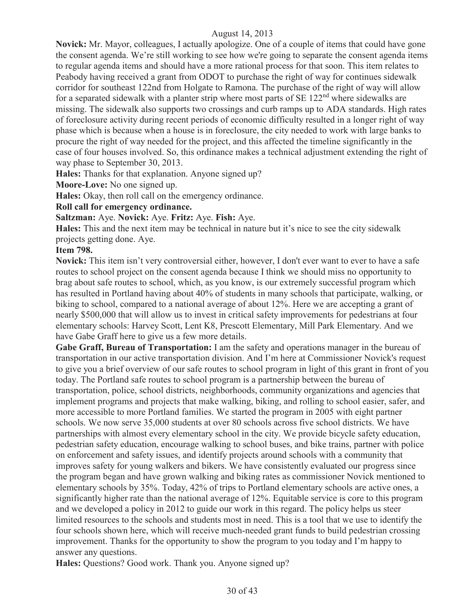**Novick:** Mr. Mayor, colleagues, I actually apologize. One of a couple of items that could have gone the consent agenda. We're still working to see how we're going to separate the consent agenda items to regular agenda items and should have a more rational process for that soon. This item relates to Peabody having received a grant from ODOT to purchase the right of way for continues sidewalk corridor for southeast 122nd from Holgate to Ramona. The purchase of the right of way will allow for a separated sidewalk with a planter strip where most parts of  $SE 122<sup>nd</sup>$  where sidewalks are missing. The sidewalk also supports two crossings and curb ramps up to ADA standards. High rates of foreclosure activity during recent periods of economic difficulty resulted in a longer right of way phase which is because when a house is in foreclosure, the city needed to work with large banks to procure the right of way needed for the project, and this affected the timeline significantly in the case of four houses involved. So, this ordinance makes a technical adjustment extending the right of way phase to September 30, 2013.

**Hales:** Thanks for that explanation. Anyone signed up?

**Moore-Love:** No one signed up.

Hales: Okay, then roll call on the emergency ordinance.

#### **Roll call for emergency ordinance.**

**Saltzman:** Aye. **Novick:** Aye. **Fritz:** Aye. **Fish:** Aye.

**Hales:** This and the next item may be technical in nature but it's nice to see the city sidewalk projects getting done. Aye.

#### **Item 798.**

**Novick:** This item isn't very controversial either, however, I don't ever want to ever to have a safe routes to school project on the consent agenda because I think we should miss no opportunity to brag about safe routes to school, which, as you know, is our extremely successful program which has resulted in Portland having about 40% of students in many schools that participate, walking, or biking to school, compared to a national average of about 12%. Here we are accepting a grant of nearly \$500,000 that will allow us to invest in critical safety improvements for pedestrians at four elementary schools: Harvey Scott, Lent K8, Prescott Elementary, Mill Park Elementary. And we have Gabe Graff here to give us a few more details.

Gabe Graff, Bureau of Transportation: I am the safety and operations manager in the bureau of transportation in our active transportation division. And I'm here at Commissioner Novick's request to give you a brief overview of our safe routes to school program in light of this grant in front of you today. The Portland safe routes to school program is a partnership between the bureau of transportation, police, school districts, neighborhoods, community organizations and agencies that implement programs and projects that make walking, biking, and rolling to school easier, safer, and more accessible to more Portland families. We started the program in 2005 with eight partner schools. We now serve 35,000 students at over 80 schools across five school districts. We have partnerships with almost every elementary school in the city. We provide bicycle safety education, pedestrian safety education, encourage walking to school buses, and bike trains, partner with police on enforcement and safety issues, and identify projects around schools with a community that improves safety for young walkers and bikers. We have consistently evaluated our progress since the program began and have grown walking and biking rates as commissioner Novick mentioned to elementary schools by 35%. Today, 42% of trips to Portland elementary schools are active ones, a significantly higher rate than the national average of 12%. Equitable service is core to this program and we developed a policy in 2012 to guide our work in this regard. The policy helps us steer limited resources to the schools and students most in need. This is a tool that we use to identify the four schools shown here, which will receive much-needed grant funds to build pedestrian crossing improvement. Thanks for the opportunity to show the program to you today and I'm happy to answer any questions.

**Hales:** Questions? Good work. Thank you. Anyone signed up?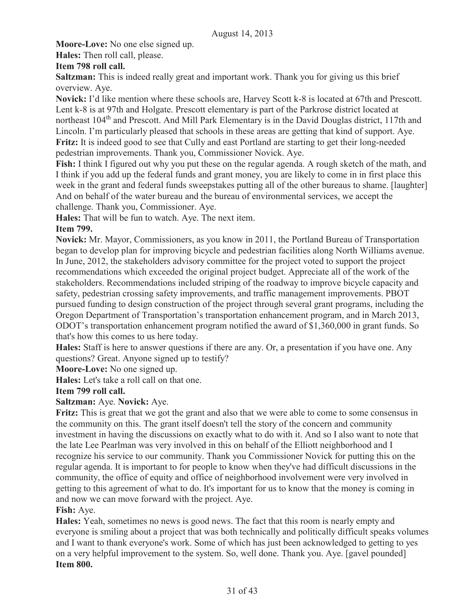**Moore-Love:** No one else signed up.

**Hales:** Then roll call, please.

# **Item 798 roll call.**

**Saltzman:** This is indeed really great and important work. Thank you for giving us this brief overview. Aye.

**Novick:** I'd like mention where these schools are, Harvey Scott k-8 is located at 67th and Prescott. Lent k-8 is at 97th and Holgate. Prescott elementary is part of the Parkrose district located at northeast 104<sup>th</sup> and Prescott. And Mill Park Elementary is in the David Douglas district, 117th and Lincoln. I'm particularly pleased that schools in these areas are getting that kind of support. Aye. **Fritz:** It is indeed good to see that Cully and east Portland are starting to get their long-needed pedestrian improvements. Thank you, Commissioner Novick. Aye.

**Fish:** I think I figured out why you put these on the regular agenda. A rough sketch of the math, and I think if you add up the federal funds and grant money, you are likely to come in in first place this week in the grant and federal funds sweepstakes putting all of the other bureaus to shame. [laughter] And on behalf of the water bureau and the bureau of environmental services, we accept the challenge. Thank you, Commissioner. Aye.

**Hales:** That will be fun to watch. Aye. The next item.

# **Item 799.**

**Novick:** Mr. Mayor, Commissioners, as you know in 2011, the Portland Bureau of Transportation began to develop plan for improving bicycle and pedestrian facilities along North Williams avenue. In June, 2012, the stakeholders advisory committee for the project voted to support the project recommendations which exceeded the original project budget. Appreciate all of the work of the stakeholders. Recommendations included striping of the roadway to improve bicycle capacity and safety, pedestrian crossing safety improvements, and traffic management improvements. PBOT pursued funding to design construction of the project through several grant programs, including the Oregon Department of Transportation's transportation enhancement program, and in March 2013, ODOT's transportation enhancement program notified the award of \$1,360,000 in grant funds. So that's how this comes to us here today.

**Hales:** Staff is here to answer questions if there are any. Or, a presentation if you have one. Any questions? Great. Anyone signed up to testify?

**Moore-Love:** No one signed up.

**Hales:** Let's take a roll call on that one.

# **Item 799 roll call.**

# **Saltzman:** Aye. **Novick:** Aye.

**Fritz:** This is great that we got the grant and also that we were able to come to some consensus in the community on this. The grant itself doesn't tell the story of the concern and community investment in having the discussions on exactly what to do with it. And so I also want to note that the late Lee Pearlman was very involved in this on behalf of the Elliott neighborhood and I recognize his service to our community. Thank you Commissioner Novick for putting this on the regular agenda. It is important to for people to know when they've had difficult discussions in the community, the office of equity and office of neighborhood involvement were very involved in getting to this agreement of what to do. It's important for us to know that the money is coming in and now we can move forward with the project. Aye.

# **Fish:** Aye.

**Hales:** Yeah, sometimes no news is good news. The fact that this room is nearly empty and everyone is smiling about a project that was both technically and politically difficult speaks volumes and I want to thank everyone's work. Some of which has just been acknowledged to getting to yes on a very helpful improvement to the system. So, well done. Thank you. Aye. [gavel pounded] **Item 800.**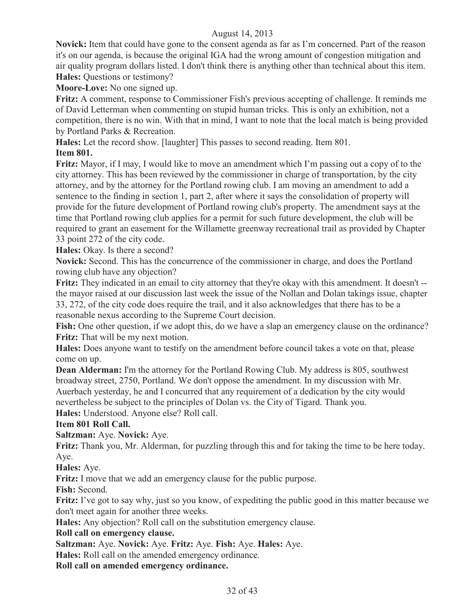**Novick:** Item that could have gone to the consent agenda as far as I'm concerned. Part of the reason it's on our agenda, is because the original IGA had the wrong amount of congestion mitigation and air quality program dollars listed. I don't think there is anything other than technical about this item. **Hales:** Questions or testimony?

**Moore-Love:** No one signed up.

**Fritz:** A comment, response to Commissioner Fish's previous accepting of challenge. It reminds me of David Letterman when commenting on stupid human tricks. This is only an exhibition, not a competition, there is no win. With that in mind, I want to note that the local match is being provided by Portland Parks & Recreation.

**Hales:** Let the record show. [laughter] This passes to second reading. Item 801.

# **Item 801.**

**Fritz:** Mayor, if I may, I would like to move an amendment which I'm passing out a copy of to the city attorney. This has been reviewed by the commissioner in charge of transportation, by the city attorney, and by the attorney for the Portland rowing club. I am moving an amendment to add a sentence to the finding in section 1, part 2, after where it says the consolidation of property will provide for the future development of Portland rowing club's property. The amendment says at the time that Portland rowing club applies for a permit for such future development, the club will be required to grant an easement for the Willamette greenway recreational trail as provided by Chapter 33 point 272 of the city code.

**Hales:** Okay. Is there a second?

**Novick:** Second. This has the concurrence of the commissioner in charge, and does the Portland rowing club have any objection?

**Fritz:** They indicated in an email to city attorney that they're okay with this amendment. It doesn't -the mayor raised at our discussion last week the issue of the Nollan and Dolan takings issue, chapter 33, 272, of the city code does require the trail, and it also acknowledges that there has to be a reasonable nexus according to the Supreme Court decision.

**Fish:** One other question, if we adopt this, do we have a slap an emergency clause on the ordinance? **Fritz:** That will be my next motion.

**Hales:** Does anyone want to testify on the amendment before council takes a vote on that, please come on up.

**Dean Alderman:** I'm the attorney for the Portland Rowing Club. My address is 805, southwest broadway street, 2750, Portland. We don't oppose the amendment. In my discussion with Mr. Auerbach yesterday, he and I concurred that any requirement of a dedication by the city would nevertheless be subject to the principles of Dolan vs. the City of Tigard. Thank you.

**Hales:** Understood. Anyone else? Roll call.

**Item 801 Roll Call.**

**Saltzman:** Aye. **Novick:** Aye.

**Fritz:** Thank you, Mr. Alderman, for puzzling through this and for taking the time to be here today. Aye.

**Hales:** Aye.

**Fritz:** I move that we add an emergency clause for the public purpose.

**Fish:** Second.

**Fritz:** I've got to say why, just so you know, of expediting the public good in this matter because we don't meet again for another three weeks.

**Hales:** Any objection? Roll call on the substitution emergency clause.

#### **Roll call on emergency clause.**

**Saltzman:** Aye. **Novick:** Aye. **Fritz:** Aye. **Fish:** Aye. **Hales:** Aye.

**Hales:** Roll call on the amended emergency ordinance.

**Roll call on amended emergency ordinance.**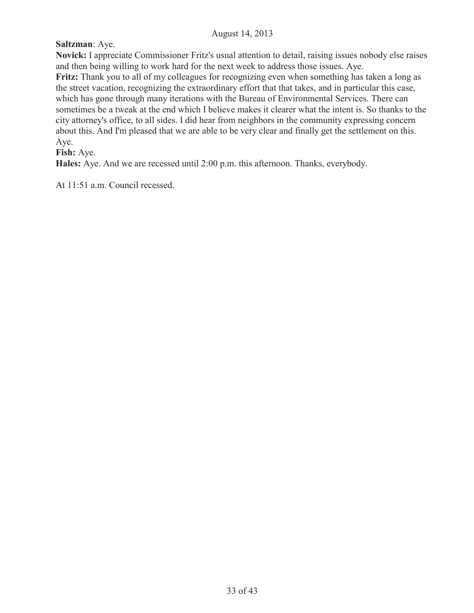# **Saltzman**: Aye.

**Novick:** I appreciate Commissioner Fritz's usual attention to detail, raising issues nobody else raises and then being willing to work hard for the next week to address those issues. Aye.

**Fritz:** Thank you to all of my colleagues for recognizing even when something has taken a long as the street vacation, recognizing the extraordinary effort that that takes, and in particular this case, which has gone through many iterations with the Bureau of Environmental Services. There can sometimes be a tweak at the end which I believe makes it clearer what the intent is. So thanks to the city attorney's office, to all sides. I did hear from neighbors in the community expressing concern about this. And I'm pleased that we are able to be very clear and finally get the settlement on this. Aye.

# **Fish:** Aye.

**Hales:** Aye. And we are recessed until 2:00 p.m. this afternoon. Thanks, everybody.

At 11:51 a.m. Council recessed.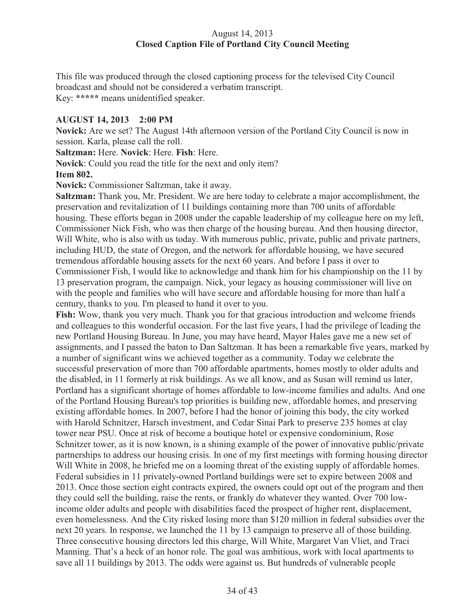# August 14, 2013 **Closed Caption File of Portland City Council Meeting**

This file was produced through the closed captioning process for the televised City Council broadcast and should not be considered a verbatim transcript. Key: **\*\*\*\*\*** means unidentified speaker.

# **AUGUST 14, 2013 2:00 PM**

**Novick:** Are we set? The August 14th afternoon version of the Portland City Council is now in session. Karla, please call the roll.

**Saltzman:** Here. **Novick**: Here. **Fish**: Here.

**Novick**: Could you read the title for the next and only item? **Item 802.**

**Novick:** Commissioner Saltzman, take it away.

**Saltzman:** Thank you, Mr. President. We are here today to celebrate a major accomplishment, the preservation and revitalization of 11 buildings containing more than 700 units of affordable housing. These efforts began in 2008 under the capable leadership of my colleague here on my left, Commissioner Nick Fish, who was then charge of the housing bureau. And then housing director, Will White, who is also with us today. With numerous public, private, public and private partners, including HUD, the state of Oregon, and the network for affordable housing, we have secured tremendous affordable housing assets for the next 60 years. And before I pass it over to Commissioner Fish, I would like to acknowledge and thank him for his championship on the 11 by 13 preservation program, the campaign. Nick, your legacy as housing commissioner will live on with the people and families who will have secure and affordable housing for more than half a century, thanks to you. I'm pleased to hand it over to you.

**Fish:** Wow, thank you very much. Thank you for that gracious introduction and welcome friends and colleagues to this wonderful occasion. For the last five years, I had the privilege of leading the new Portland Housing Bureau. In June, you may have heard, Mayor Hales gave me a new set of assignments, and I passed the baton to Dan Saltzman. It has been a remarkable five years, marked by a number of significant wins we achieved together as a community. Today we celebrate the successful preservation of more than 700 affordable apartments, homes mostly to older adults and the disabled, in 11 formerly at risk buildings. As we all know, and as Susan will remind us later, Portland has a significant shortage of homes affordable to low-income families and adults. And one of the Portland Housing Bureau's top priorities is building new, affordable homes, and preserving existing affordable homes. In 2007, before I had the honor of joining this body, the city worked with Harold Schnitzer, Harsch investment, and Cedar Sinai Park to preserve 235 homes at clay tower near PSU. Once at risk of become a boutique hotel or expensive condominium, Rose Schnitzer tower, as it is now known, is a shining example of the power of innovative public/private partnerships to address our housing crisis. In one of my first meetings with forming housing director Will White in 2008, he briefed me on a looming threat of the existing supply of affordable homes. Federal subsidies in 11 privately-owned Portland buildings were set to expire between 2008 and 2013. Once those section eight contracts expired, the owners could opt out of the program and then they could sell the building, raise the rents, or frankly do whatever they wanted. Over 700 lowincome older adults and people with disabilities faced the prospect of higher rent, displacement, even homelessness. And the City risked losing more than \$120 million in federal subsidies over the next 20 years. In response, we launched the 11 by 13 campaign to preserve all of those building. Three consecutive housing directors led this charge, Will White, Margaret Van Vliet, and Traci Manning. That's a heck of an honor role. The goal was ambitious, work with local apartments to save all 11 buildings by 2013. The odds were against us. But hundreds of vulnerable people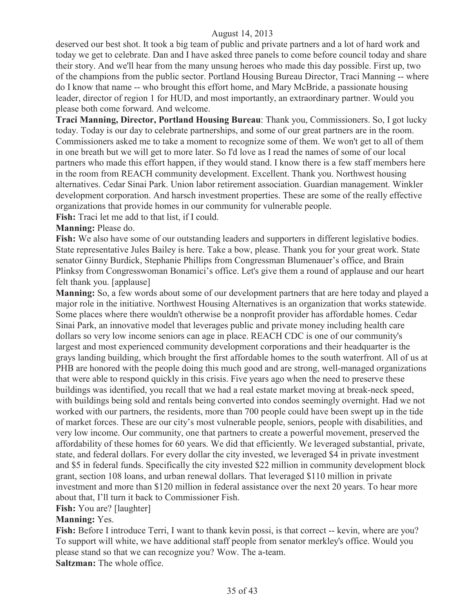deserved our best shot. It took a big team of public and private partners and a lot of hard work and today we get to celebrate. Dan and I have asked three panels to come before council today and share their story. And we'll hear from the many unsung heroes who made this day possible. First up, two of the champions from the public sector. Portland Housing Bureau Director, Traci Manning -- where do I know that name -- who brought this effort home, and Mary McBride, a passionate housing leader, director of region 1 for HUD, and most importantly, an extraordinary partner. Would you please both come forward. And welcome.

**Traci Manning, Director, Portland Housing Bureau**: Thank you, Commissioners. So, I got lucky today. Today is our day to celebrate partnerships, and some of our great partners are in the room. Commissioners asked me to take a moment to recognize some of them. We won't get to all of them in one breath but we will get to more later. So I'd love as I read the names of some of our local partners who made this effort happen, if they would stand. I know there is a few staff members here in the room from REACH community development. Excellent. Thank you. Northwest housing alternatives. Cedar Sinai Park. Union labor retirement association. Guardian management. Winkler development corporation. And harsch investment properties. These are some of the really effective organizations that provide homes in our community for vulnerable people.

**Fish:** Traci let me add to that list, if I could.

# **Manning:** Please do.

Fish: We also have some of our outstanding leaders and supporters in different legislative bodies. State representative Jules Bailey is here. Take a bow, please. Thank you for your great work. State senator Ginny Burdick, Stephanie Phillips from Congressman Blumenauer's office, and Brain Plinksy from Congresswoman Bonamici's office. Let's give them a round of applause and our heart felt thank you. [applause]

**Manning:** So, a few words about some of our development partners that are here today and played a major role in the initiative. Northwest Housing Alternatives is an organization that works statewide. Some places where there wouldn't otherwise be a nonprofit provider has affordable homes. Cedar Sinai Park, an innovative model that leverages public and private money including health care dollars so very low income seniors can age in place. REACH CDC is one of our community's largest and most experienced community development corporations and their headquarter is the grays landing building, which brought the first affordable homes to the south waterfront. All of us at PHB are honored with the people doing this much good and are strong, well-managed organizations that were able to respond quickly in this crisis. Five years ago when the need to preserve these buildings was identified, you recall that we had a real estate market moving at break-neck speed, with buildings being sold and rentals being converted into condos seemingly overnight. Had we not worked with our partners, the residents, more than 700 people could have been swept up in the tide of market forces. These are our city's most vulnerable people, seniors, people with disabilities, and very low income. Our community, one that partners to create a powerful movement, preserved the affordability of these homes for 60 years. We did that efficiently. We leveraged substantial, private, state, and federal dollars. For every dollar the city invested, we leveraged \$4 in private investment and \$5 in federal funds. Specifically the city invested \$22 million in community development block grant, section 108 loans, and urban renewal dollars. That leveraged \$110 million in private investment and more than \$120 million in federal assistance over the next 20 years. To hear more about that, I'll turn it back to Commissioner Fish.

**Fish:** You are? [laughter]

#### **Manning:** Yes.

**Fish:** Before I introduce Terri, I want to thank kevin possi, is that correct -- kevin, where are you? To support will white, we have additional staff people from senator merkley's office. Would you please stand so that we can recognize you? Wow. The a-team. **Saltzman:** The whole office.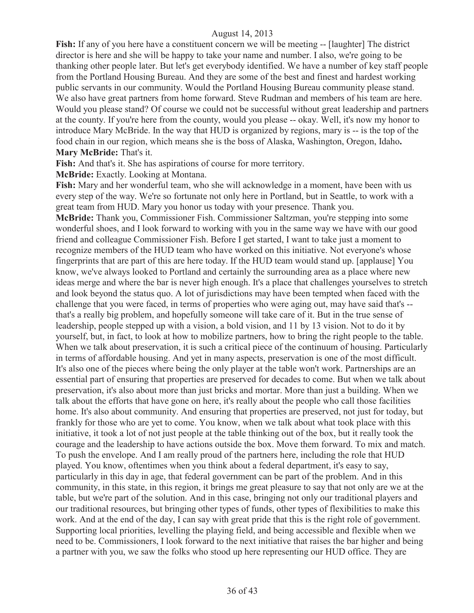**Fish:** If any of you here have a constituent concern we will be meeting -- [laughter] The district director is here and she will be happy to take your name and number. I also, we're going to be thanking other people later. But let's get everybody identified. We have a number of key staff people from the Portland Housing Bureau. And they are some of the best and finest and hardest working public servants in our community. Would the Portland Housing Bureau community please stand. We also have great partners from home forward. Steve Rudman and members of his team are here. Would you please stand? Of course we could not be successful without great leadership and partners at the county. If you're here from the county, would you please -- okay. Well, it's now my honor to introduce Mary McBride. In the way that HUD is organized by regions, mary is -- is the top of the food chain in our region, which means she is the boss of Alaska, Washington, Oregon, Idaho**. Mary McBride:** That's it.

**Fish:** And that's it. She has aspirations of course for more territory.

**McBride:** Exactly. Looking at Montana.

**Fish:** Mary and her wonderful team, who she will acknowledge in a moment, have been with us every step of the way. We're so fortunate not only here in Portland, but in Seattle, to work with a great team from HUD. Mary you honor us today with your presence. Thank you. **McBride:** Thank you, Commissioner Fish. Commissioner Saltzman, you're stepping into some wonderful shoes, and I look forward to working with you in the same way we have with our good friend and colleague Commissioner Fish. Before I get started, I want to take just a moment to recognize members of the HUD team who have worked on this initiative. Not everyone's whose fingerprints that are part of this are here today. If the HUD team would stand up. [applause] You know, we've always looked to Portland and certainly the surrounding area as a place where new ideas merge and where the bar is never high enough. It's a place that challenges yourselves to stretch and look beyond the status quo. A lot of jurisdictions may have been tempted when faced with the challenge that you were faced, in terms of properties who were aging out, may have said that's - that's a really big problem, and hopefully someone will take care of it. But in the true sense of leadership, people stepped up with a vision, a bold vision, and 11 by 13 vision. Not to do it by yourself, but, in fact, to look at how to mobilize partners, how to bring the right people to the table. When we talk about preservation, it is such a critical piece of the continuum of housing. Particularly in terms of affordable housing. And yet in many aspects, preservation is one of the most difficult. It's also one of the pieces where being the only player at the table won't work. Partnerships are an essential part of ensuring that properties are preserved for decades to come. But when we talk about preservation, it's also about more than just bricks and mortar. More than just a building. When we talk about the efforts that have gone on here, it's really about the people who call those facilities home. It's also about community. And ensuring that properties are preserved, not just for today, but frankly for those who are yet to come. You know, when we talk about what took place with this initiative, it took a lot of not just people at the table thinking out of the box, but it really took the courage and the leadership to have actions outside the box. Move them forward. To mix and match. To push the envelope. And I am really proud of the partners here, including the role that HUD played. You know, oftentimes when you think about a federal department, it's easy to say, particularly in this day in age, that federal government can be part of the problem. And in this community, in this state, in this region, it brings me great pleasure to say that not only are we at the table, but we're part of the solution. And in this case, bringing not only our traditional players and our traditional resources, but bringing other types of funds, other types of flexibilities to make this work. And at the end of the day, I can say with great pride that this is the right role of government. Supporting local priorities, levelling the playing field, and being accessible and flexible when we need to be. Commissioners, I look forward to the next initiative that raises the bar higher and being a partner with you, we saw the folks who stood up here representing our HUD office. They are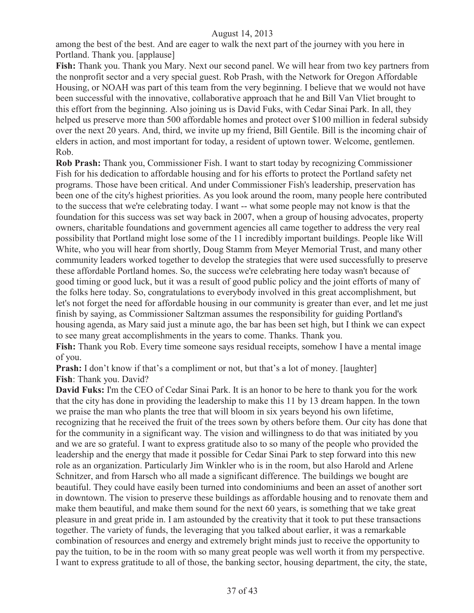among the best of the best. And are eager to walk the next part of the journey with you here in Portland. Thank you. [applause]

**Fish:** Thank you. Thank you Mary. Next our second panel. We will hear from two key partners from the nonprofit sector and a very special guest. Rob Prash, with the Network for Oregon Affordable Housing, or NOAH was part of this team from the very beginning. I believe that we would not have been successful with the innovative, collaborative approach that he and Bill Van Vliet brought to this effort from the beginning. Also joining us is David Fuks, with Cedar Sinai Park. In all, they helped us preserve more than 500 affordable homes and protect over \$100 million in federal subsidy over the next 20 years. And, third, we invite up my friend, Bill Gentile. Bill is the incoming chair of elders in action, and most important for today, a resident of uptown tower. Welcome, gentlemen. Rob.

**Rob Prash:** Thank you, Commissioner Fish. I want to start today by recognizing Commissioner Fish for his dedication to affordable housing and for his efforts to protect the Portland safety net programs. Those have been critical. And under Commissioner Fish's leadership, preservation has been one of the city's highest priorities. As you look around the room, many people here contributed to the success that we're celebrating today. I want -- what some people may not know is that the foundation for this success was set way back in 2007, when a group of housing advocates, property owners, charitable foundations and government agencies all came together to address the very real possibility that Portland might lose some of the 11 incredibly important buildings. People like Will White, who you will hear from shortly, Doug Stamm from Meyer Memorial Trust, and many other community leaders worked together to develop the strategies that were used successfully to preserve these affordable Portland homes. So, the success we're celebrating here today wasn't because of good timing or good luck, but it was a result of good public policy and the joint efforts of many of the folks here today. So, congratulations to everybody involved in this great accomplishment, but let's not forget the need for affordable housing in our community is greater than ever, and let me just finish by saying, as Commissioner Saltzman assumes the responsibility for guiding Portland's housing agenda, as Mary said just a minute ago, the bar has been set high, but I think we can expect to see many great accomplishments in the years to come. Thanks. Thank you.

**Fish:** Thank you Rob. Every time someone says residual receipts, somehow I have a mental image of you.

**Prash:** I don't know if that's a compliment or not, but that's a lot of money. [laughter] **Fish**: Thank you. David?

**David Fuks:** I'm the CEO of Cedar Sinai Park. It is an honor to be here to thank you for the work that the city has done in providing the leadership to make this 11 by 13 dream happen. In the town we praise the man who plants the tree that will bloom in six years beyond his own lifetime, recognizing that he received the fruit of the trees sown by others before them. Our city has done that for the community in a significant way. The vision and willingness to do that was initiated by you and we are so grateful. I want to express gratitude also to so many of the people who provided the leadership and the energy that made it possible for Cedar Sinai Park to step forward into this new role as an organization. Particularly Jim Winkler who is in the room, but also Harold and Arlene Schnitzer, and from Harsch who all made a significant difference. The buildings we bought are beautiful. They could have easily been turned into condominiums and been an asset of another sort in downtown. The vision to preserve these buildings as affordable housing and to renovate them and make them beautiful, and make them sound for the next 60 years, is something that we take great pleasure in and great pride in. I am astounded by the creativity that it took to put these transactions together. The variety of funds, the leveraging that you talked about earlier, it was a remarkable combination of resources and energy and extremely bright minds just to receive the opportunity to pay the tuition, to be in the room with so many great people was well worth it from my perspective. I want to express gratitude to all of those, the banking sector, housing department, the city, the state,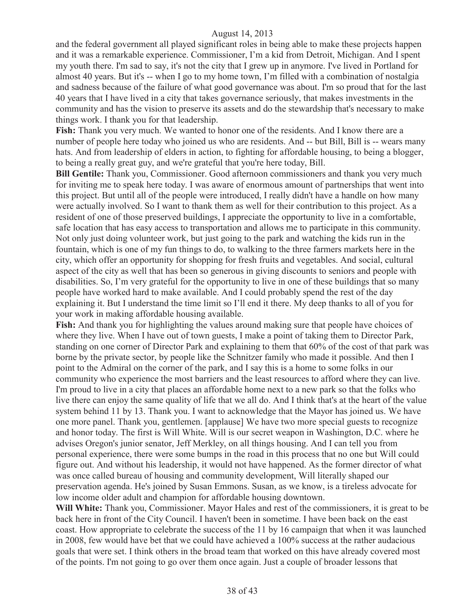and the federal government all played significant roles in being able to make these projects happen and it was a remarkable experience. Commissioner, I'm a kid from Detroit, Michigan. And I spent my youth there. I'm sad to say, it's not the city that I grew up in anymore. I've lived in Portland for almost 40 years. But it's -- when I go to my home town, I'm filled with a combination of nostalgia and sadness because of the failure of what good governance was about. I'm so proud that for the last 40 years that I have lived in a city that takes governance seriously, that makes investments in the community and has the vision to preserve its assets and do the stewardship that's necessary to make things work. I thank you for that leadership.

**Fish:** Thank you very much. We wanted to honor one of the residents. And I know there are a number of people here today who joined us who are residents. And -- but Bill, Bill is -- wears many hats. And from leadership of elders in action, to fighting for affordable housing, to being a blogger, to being a really great guy, and we're grateful that you're here today, Bill.

**Bill Gentile:** Thank you, Commissioner. Good afternoon commissioners and thank you very much for inviting me to speak here today. I was aware of enormous amount of partnerships that went into this project. But until all of the people were introduced, I really didn't have a handle on how many were actually involved. So I want to thank them as well for their contribution to this project. As a resident of one of those preserved buildings, I appreciate the opportunity to live in a comfortable, safe location that has easy access to transportation and allows me to participate in this community. Not only just doing volunteer work, but just going to the park and watching the kids run in the fountain, which is one of my fun things to do, to walking to the three farmers markets here in the city, which offer an opportunity for shopping for fresh fruits and vegetables. And social, cultural aspect of the city as well that has been so generous in giving discounts to seniors and people with disabilities. So, I'm very grateful for the opportunity to live in one of these buildings that so many people have worked hard to make available. And I could probably spend the rest of the day explaining it. But I understand the time limit so I'll end it there. My deep thanks to all of you for your work in making affordable housing available.

**Fish:** And thank you for highlighting the values around making sure that people have choices of where they live. When I have out of town guests, I make a point of taking them to Director Park, standing on one corner of Director Park and explaining to them that 60% of the cost of that park was borne by the private sector, by people like the Schnitzer family who made it possible. And then I point to the Admiral on the corner of the park, and I say this is a home to some folks in our community who experience the most barriers and the least resources to afford where they can live. I'm proud to live in a city that places an affordable home next to a new park so that the folks who live there can enjoy the same quality of life that we all do. And I think that's at the heart of the value system behind 11 by 13. Thank you. I want to acknowledge that the Mayor has joined us. We have one more panel. Thank you, gentlemen. [applause] We have two more special guests to recognize and honor today. The first is Will White. Will is our secret weapon in Washington, D.C. where he advises Oregon's junior senator, Jeff Merkley, on all things housing. And I can tell you from personal experience, there were some bumps in the road in this process that no one but Will could figure out. And without his leadership, it would not have happened. As the former director of what was once called bureau of housing and community development, Will literally shaped our preservation agenda. He's joined by Susan Emmons. Susan, as we know, is a tireless advocate for low income older adult and champion for affordable housing downtown.

**Will White:** Thank you, Commissioner. Mayor Hales and rest of the commissioners, it is great to be back here in front of the City Council. I haven't been in sometime. I have been back on the east coast. How appropriate to celebrate the success of the 11 by 16 campaign that when it was launched in 2008, few would have bet that we could have achieved a 100% success at the rather audacious goals that were set. I think others in the broad team that worked on this have already covered most of the points. I'm not going to go over them once again. Just a couple of broader lessons that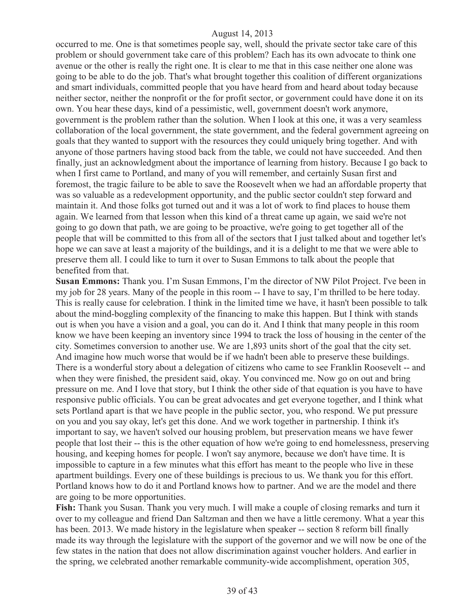occurred to me. One is that sometimes people say, well, should the private sector take care of this problem or should government take care of this problem? Each has its own advocate to think one avenue or the other is really the right one. It is clear to me that in this case neither one alone was going to be able to do the job. That's what brought together this coalition of different organizations and smart individuals, committed people that you have heard from and heard about today because neither sector, neither the nonprofit or the for profit sector, or government could have done it on its own. You hear these days, kind of a pessimistic, well, government doesn't work anymore, government is the problem rather than the solution. When I look at this one, it was a very seamless collaboration of the local government, the state government, and the federal government agreeing on goals that they wanted to support with the resources they could uniquely bring together. And with anyone of those partners having stood back from the table, we could not have succeeded. And then finally, just an acknowledgment about the importance of learning from history. Because I go back to when I first came to Portland, and many of you will remember, and certainly Susan first and foremost, the tragic failure to be able to save the Roosevelt when we had an affordable property that was so valuable as a redevelopment opportunity, and the public sector couldn't step forward and maintain it. And those folks got turned out and it was a lot of work to find places to house them again. We learned from that lesson when this kind of a threat came up again, we said we're not going to go down that path, we are going to be proactive, we're going to get together all of the people that will be committed to this from all of the sectors that I just talked about and together let's hope we can save at least a majority of the buildings, and it is a delight to me that we were able to preserve them all. I could like to turn it over to Susan Emmons to talk about the people that benefited from that.

**Susan Emmons:** Thank you. I'm Susan Emmons, I'm the director of NW Pilot Project. I've been in my job for 28 years. Many of the people in this room -- I have to say, I'm thrilled to be here today. This is really cause for celebration. I think in the limited time we have, it hasn't been possible to talk about the mind-boggling complexity of the financing to make this happen. But I think with stands out is when you have a vision and a goal, you can do it. And I think that many people in this room know we have been keeping an inventory since 1994 to track the loss of housing in the center of the city. Sometimes conversion to another use. We are 1,893 units short of the goal that the city set. And imagine how much worse that would be if we hadn't been able to preserve these buildings. There is a wonderful story about a delegation of citizens who came to see Franklin Roosevelt -- and when they were finished, the president said, okay. You convinced me. Now go on out and bring pressure on me. And I love that story, but I think the other side of that equation is you have to have responsive public officials. You can be great advocates and get everyone together, and I think what sets Portland apart is that we have people in the public sector, you, who respond. We put pressure on you and you say okay, let's get this done. And we work together in partnership. I think it's important to say, we haven't solved our housing problem, but preservation means we have fewer people that lost their -- this is the other equation of how we're going to end homelessness, preserving housing, and keeping homes for people. I won't say anymore, because we don't have time. It is impossible to capture in a few minutes what this effort has meant to the people who live in these apartment buildings. Every one of these buildings is precious to us. We thank you for this effort. Portland knows how to do it and Portland knows how to partner. And we are the model and there are going to be more opportunities.

**Fish:** Thank you Susan. Thank you very much. I will make a couple of closing remarks and turn it over to my colleague and friend Dan Saltzman and then we have a little ceremony. What a year this has been. 2013. We made history in the legislature when speaker -- section 8 reform bill finally made its way through the legislature with the support of the governor and we will now be one of the few states in the nation that does not allow discrimination against voucher holders. And earlier in the spring, we celebrated another remarkable community-wide accomplishment, operation 305,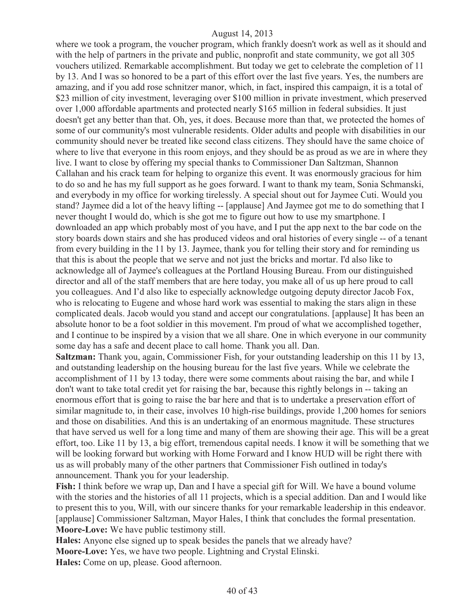where we took a program, the voucher program, which frankly doesn't work as well as it should and with the help of partners in the private and public, nonprofit and state community, we got all 305 vouchers utilized. Remarkable accomplishment. But today we get to celebrate the completion of 11 by 13. And I was so honored to be a part of this effort over the last five years. Yes, the numbers are amazing, and if you add rose schnitzer manor, which, in fact, inspired this campaign, it is a total of \$23 million of city investment, leveraging over \$100 million in private investment, which preserved over 1,000 affordable apartments and protected nearly \$165 million in federal subsidies. It just doesn't get any better than that. Oh, yes, it does. Because more than that, we protected the homes of some of our community's most vulnerable residents. Older adults and people with disabilities in our community should never be treated like second class citizens. They should have the same choice of where to live that everyone in this room enjoys, and they should be as proud as we are in where they live. I want to close by offering my special thanks to Commissioner Dan Saltzman, Shannon Callahan and his crack team for helping to organize this event. It was enormously gracious for him to do so and he has my full support as he goes forward. I want to thank my team, Sonia Schmanski, and everybody in my office for working tirelessly. A special shout out for Jaymee Cuti. Would you stand? Jaymee did a lot of the heavy lifting -- [applause] And Jaymee got me to do something that I never thought I would do, which is she got me to figure out how to use my smartphone. I downloaded an app which probably most of you have, and I put the app next to the bar code on the story boards down stairs and she has produced videos and oral histories of every single -- of a tenant from every building in the 11 by 13. Jaymee, thank you for telling their story and for reminding us that this is about the people that we serve and not just the bricks and mortar. I'd also like to acknowledge all of Jaymee's colleagues at the Portland Housing Bureau. From our distinguished director and all of the staff members that are here today, you make all of us up here proud to call you colleagues. And I'd also like to especially acknowledge outgoing deputy director Jacob Fox, who is relocating to Eugene and whose hard work was essential to making the stars align in these complicated deals. Jacob would you stand and accept our congratulations. [applause] It has been an absolute honor to be a foot soldier in this movement. I'm proud of what we accomplished together, and I continue to be inspired by a vision that we all share. One in which everyone in our community some day has a safe and decent place to call home. Thank you all. Dan.

**Saltzman:** Thank you, again, Commissioner Fish, for your outstanding leadership on this 11 by 13, and outstanding leadership on the housing bureau for the last five years. While we celebrate the accomplishment of 11 by 13 today, there were some comments about raising the bar, and while I don't want to take total credit yet for raising the bar, because this rightly belongs in -- taking an enormous effort that is going to raise the bar here and that is to undertake a preservation effort of similar magnitude to, in their case, involves 10 high-rise buildings, provide 1,200 homes for seniors and those on disabilities. And this is an undertaking of an enormous magnitude. These structures that have served us well for a long time and many of them are showing their age. This will be a great effort, too. Like 11 by 13, a big effort, tremendous capital needs. I know it will be something that we will be looking forward but working with Home Forward and I know HUD will be right there with us as will probably many of the other partners that Commissioner Fish outlined in today's announcement. Thank you for your leadership.

**Fish:** I think before we wrap up, Dan and I have a special gift for Will. We have a bound volume with the stories and the histories of all 11 projects, which is a special addition. Dan and I would like to present this to you, Will, with our sincere thanks for your remarkable leadership in this endeavor. [applause] Commissioner Saltzman, Mayor Hales, I think that concludes the formal presentation. **Moore-Love:** We have public testimony still.

**Hales:** Anyone else signed up to speak besides the panels that we already have? **Moore-Love:** Yes, we have two people. Lightning and Crystal Elinski. **Hales:** Come on up, please. Good afternoon.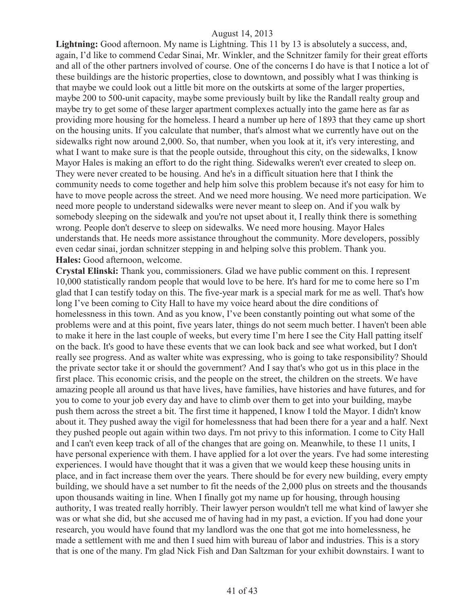Lightning: Good afternoon. My name is Lightning. This 11 by 13 is absolutely a success, and, again, I'd like to commend Cedar Sinai, Mr. Winkler, and the Schnitzer family for their great efforts and all of the other partners involved of course. One of the concerns I do have is that I notice a lot of these buildings are the historic properties, close to downtown, and possibly what I was thinking is that maybe we could look out a little bit more on the outskirts at some of the larger properties, maybe 200 to 500-unit capacity, maybe some previously built by like the Randall realty group and maybe try to get some of these larger apartment complexes actually into the game here as far as providing more housing for the homeless. I heard a number up here of 1893 that they came up short on the housing units. If you calculate that number, that's almost what we currently have out on the sidewalks right now around 2,000. So, that number, when you look at it, it's very interesting, and what I want to make sure is that the people outside, throughout this city, on the sidewalks, I know Mayor Hales is making an effort to do the right thing. Sidewalks weren't ever created to sleep on. They were never created to be housing. And he's in a difficult situation here that I think the community needs to come together and help him solve this problem because it's not easy for him to have to move people across the street. And we need more housing. We need more participation. We need more people to understand sidewalks were never meant to sleep on. And if you walk by somebody sleeping on the sidewalk and you're not upset about it, I really think there is something wrong. People don't deserve to sleep on sidewalks. We need more housing. Mayor Hales understands that. He needs more assistance throughout the community. More developers, possibly even cedar sinai, jordan schnitzer stepping in and helping solve this problem. Thank you. **Hales:** Good afternoon, welcome.

**Crystal Elinski:** Thank you, commissioners. Glad we have public comment on this. I represent 10,000 statistically random people that would love to be here. It's hard for me to come here so I'm glad that I can testify today on this. The five-year mark is a special mark for me as well. That's how long I've been coming to City Hall to have my voice heard about the dire conditions of homelessness in this town. And as you know, I've been constantly pointing out what some of the problems were and at this point, five years later, things do not seem much better. I haven't been able to make it here in the last couple of weeks, but every time I'm here I see the City Hall patting itself on the back. It's good to have these events that we can look back and see what worked, but I don't really see progress. And as walter white was expressing, who is going to take responsibility? Should the private sector take it or should the government? And I say that's who got us in this place in the first place. This economic crisis, and the people on the street, the children on the streets. We have amazing people all around us that have lives, have families, have histories and have futures, and for you to come to your job every day and have to climb over them to get into your building, maybe push them across the street a bit. The first time it happened, I know I told the Mayor. I didn't know about it. They pushed away the vigil for homelessness that had been there for a year and a half. Next they pushed people out again within two days. I'm not privy to this information. I come to City Hall and I can't even keep track of all of the changes that are going on. Meanwhile, to these 11 units, I have personal experience with them. I have applied for a lot over the years. I've had some interesting experiences. I would have thought that it was a given that we would keep these housing units in place, and in fact increase them over the years. There should be for every new building, every empty building, we should have a set number to fit the needs of the 2,000 plus on streets and the thousands upon thousands waiting in line. When I finally got my name up for housing, through housing authority, I was treated really horribly. Their lawyer person wouldn't tell me what kind of lawyer she was or what she did, but she accused me of having had in my past, a eviction. If you had done your research, you would have found that my landlord was the one that got me into homelessness, he made a settlement with me and then I sued him with bureau of labor and industries. This is a story that is one of the many. I'm glad Nick Fish and Dan Saltzman for your exhibit downstairs. I want to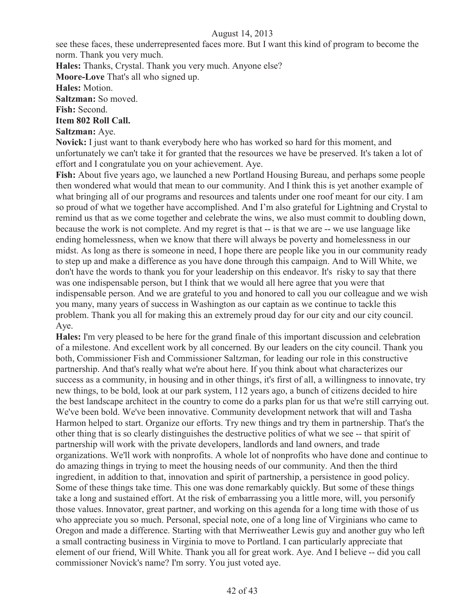see these faces, these underrepresented faces more. But I want this kind of program to become the norm. Thank you very much.

**Hales:** Thanks, Crystal. Thank you very much. Anyone else?

**Moore-Love** That's all who signed up.

**Hales:** Motion.

**Saltzman:** So moved.

**Fish:** Second.

# **Item 802 Roll Call.**

# **Saltzman:** Aye.

**Novick:** I just want to thank everybody here who has worked so hard for this moment, and unfortunately we can't take it for granted that the resources we have be preserved. It's taken a lot of effort and I congratulate you on your achievement. Aye.

**Fish:** About five years ago, we launched a new Portland Housing Bureau, and perhaps some people then wondered what would that mean to our community. And I think this is yet another example of what bringing all of our programs and resources and talents under one roof meant for our city. I am so proud of what we together have accomplished. And I'm also grateful for Lightning and Crystal to remind us that as we come together and celebrate the wins, we also must commit to doubling down, because the work is not complete. And my regret is that -- is that we are -- we use language like ending homelessness, when we know that there will always be poverty and homelessness in our midst. As long as there is someone in need, I hope there are people like you in our community ready to step up and make a difference as you have done through this campaign. And to Will White, we don't have the words to thank you for your leadership on this endeavor. It's risky to say that there was one indispensable person, but I think that we would all here agree that you were that indispensable person. And we are grateful to you and honored to call you our colleague and we wish you many, many years of success in Washington as our captain as we continue to tackle this problem. Thank you all for making this an extremely proud day for our city and our city council. Aye.

**Hales:** I'm very pleased to be here for the grand finale of this important discussion and celebration of a milestone. And excellent work by all concerned. By our leaders on the city council. Thank you both, Commissioner Fish and Commissioner Saltzman, for leading our role in this constructive partnership. And that's really what we're about here. If you think about what characterizes our success as a community, in housing and in other things, it's first of all, a willingness to innovate, try new things, to be bold, look at our park system, 112 years ago, a bunch of citizens decided to hire the best landscape architect in the country to come do a parks plan for us that we're still carrying out. We've been bold. We've been innovative. Community development network that will and Tasha Harmon helped to start. Organize our efforts. Try new things and try them in partnership. That's the other thing that is so clearly distinguishes the destructive politics of what we see -- that spirit of partnership will work with the private developers, landlords and land owners, and trade organizations. We'll work with nonprofits. A whole lot of nonprofits who have done and continue to do amazing things in trying to meet the housing needs of our community. And then the third ingredient, in addition to that, innovation and spirit of partnership, a persistence in good policy. Some of these things take time. This one was done remarkably quickly. But some of these things take a long and sustained effort. At the risk of embarrassing you a little more, will, you personify those values. Innovator, great partner, and working on this agenda for a long time with those of us who appreciate you so much. Personal, special note, one of a long line of Virginians who came to Oregon and made a difference. Starting with that Merriweather Lewis guy and another guy who left a small contracting business in Virginia to move to Portland. I can particularly appreciate that element of our friend, Will White. Thank you all for great work. Aye. And I believe -- did you call commissioner Novick's name? I'm sorry. You just voted aye.